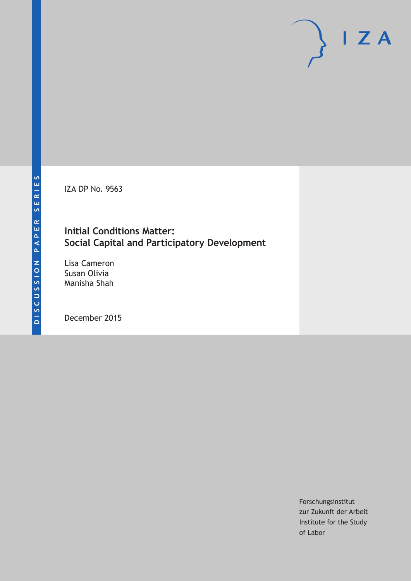IZA DP No. 9563

## **Initial Conditions Matter: Social Capital and Participatory Development**

Lisa Cameron Susan Olivia Manisha Shah

December 2015

Forschungsinstitut zur Zukunft der Arbeit Institute for the Study of Labor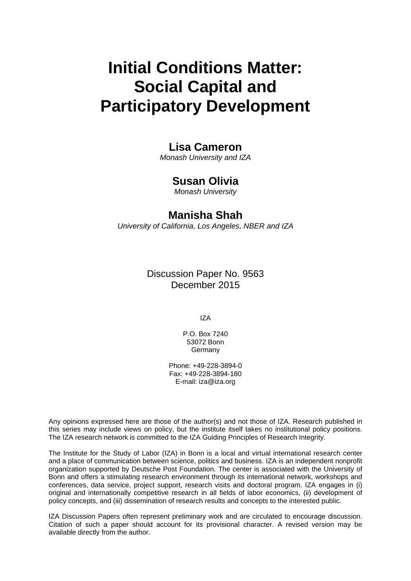# **Initial Conditions Matter: Social Capital and Participatory Development**

### **Lisa Cameron**

*Monash University and IZA* 

### **Susan Olivia**

*Monash University* 

### **Manisha Shah**

*University of California, Los Angeles, NBER and IZA*

Discussion Paper No. 9563 December 2015

IZA

P.O. Box 7240 53072 Bonn **Germany** 

Phone: +49-228-3894-0 Fax: +49-228-3894-180 E-mail: iza@iza.org

Any opinions expressed here are those of the author(s) and not those of IZA. Research published in this series may include views on policy, but the institute itself takes no institutional policy positions. The IZA research network is committed to the IZA Guiding Principles of Research Integrity.

The Institute for the Study of Labor (IZA) in Bonn is a local and virtual international research center and a place of communication between science, politics and business. IZA is an independent nonprofit organization supported by Deutsche Post Foundation. The center is associated with the University of Bonn and offers a stimulating research environment through its international network, workshops and conferences, data service, project support, research visits and doctoral program. IZA engages in (i) original and internationally competitive research in all fields of labor economics, (ii) development of policy concepts, and (iii) dissemination of research results and concepts to the interested public.

IZA Discussion Papers often represent preliminary work and are circulated to encourage discussion. Citation of such a paper should account for its provisional character. A revised version may be available directly from the author.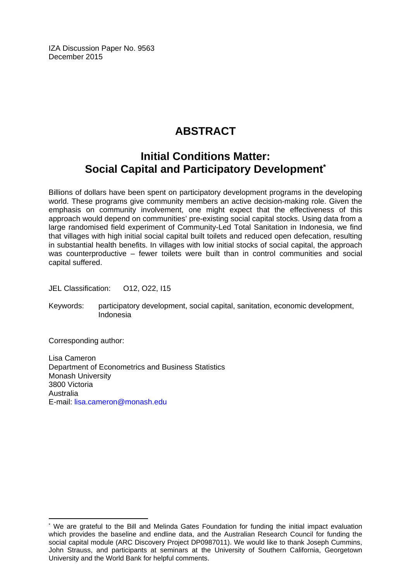IZA Discussion Paper No. 9563 December 2015

# **ABSTRACT**

# **Initial Conditions Matter: Social Capital and Participatory Development\***

Billions of dollars have been spent on participatory development programs in the developing world. These programs give community members an active decision-making role. Given the emphasis on community involvement, one might expect that the effectiveness of this approach would depend on communities' pre-existing social capital stocks. Using data from a large randomised field experiment of Community-Led Total Sanitation in Indonesia, we find that villages with high initial social capital built toilets and reduced open defecation, resulting in substantial health benefits. In villages with low initial stocks of social capital, the approach was counterproductive – fewer toilets were built than in control communities and social capital suffered.

JEL Classification: O12, O22, I15

Keywords: participatory development, social capital, sanitation, economic development, Indonesia

Corresponding author:

 $\overline{a}$ 

Lisa Cameron Department of Econometrics and Business Statistics Monash University 3800 Victoria Australia E-mail: lisa.cameron@monash.edu

<sup>\*</sup> We are grateful to the Bill and Melinda Gates Foundation for funding the initial impact evaluation which provides the baseline and endline data, and the Australian Research Council for funding the social capital module (ARC Discovery Project DP0987011). We would like to thank Joseph Cummins, John Strauss, and participants at seminars at the University of Southern California, Georgetown University and the World Bank for helpful comments.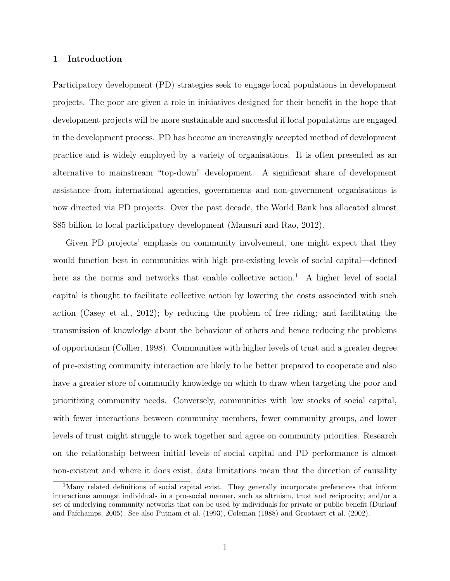#### 1 Introduction

Participatory development (PD) strategies seek to engage local populations in development projects. The poor are given a role in initiatives designed for their benefit in the hope that development projects will be more sustainable and successful if local populations are engaged in the development process. PD has become an increasingly accepted method of development practice and is widely employed by a variety of organisations. It is often presented as an alternative to mainstream "top-down" development. A significant share of development assistance from international agencies, governments and non-government organisations is now directed via PD projects. Over the past decade, the World Bank has allocated almost \$85 billion to local participatory development (Mansuri and Rao, 2012).

Given PD projects' emphasis on community involvement, one might expect that they would function best in communities with high pre-existing levels of social capital—defined here as the norms and networks that enable collective action.<sup>1</sup> A higher level of social capital is thought to facilitate collective action by lowering the costs associated with such action (Casey et al., 2012); by reducing the problem of free riding; and facilitating the transmission of knowledge about the behaviour of others and hence reducing the problems of opportunism (Collier, 1998). Communities with higher levels of trust and a greater degree of pre-existing community interaction are likely to be better prepared to cooperate and also have a greater store of community knowledge on which to draw when targeting the poor and prioritizing community needs. Conversely, communities with low stocks of social capital, with fewer interactions between community members, fewer community groups, and lower levels of trust might struggle to work together and agree on community priorities. Research on the relationship between initial levels of social capital and PD performance is almost non-existent and where it does exist, data limitations mean that the direction of causality

<sup>1</sup>Many related definitions of social capital exist. They generally incorporate preferences that inform interactions amongst individuals in a pro-social manner, such as altruism, trust and reciprocity; and/or a set of underlying community networks that can be used by individuals for private or public benefit (Durlauf and Fafchamps, 2005). See also Putnam et al. (1993), Coleman (1988) and Grootaert et al. (2002).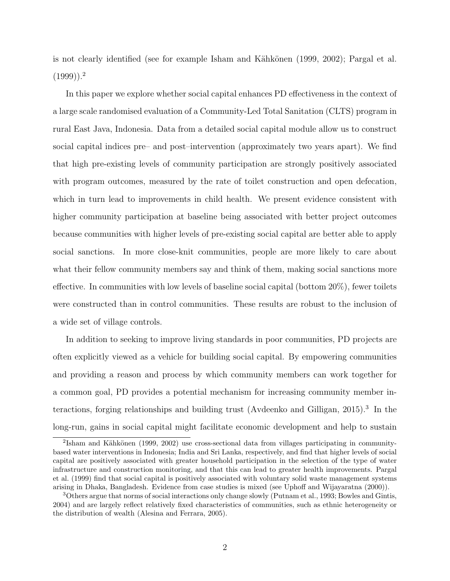is not clearly identified (see for example Isham and Kähkönen (1999, 2002); Pargal et al.  $(1999)$ ).<sup>2</sup>

In this paper we explore whether social capital enhances PD effectiveness in the context of a large scale randomised evaluation of a Community-Led Total Sanitation (CLTS) program in rural East Java, Indonesia. Data from a detailed social capital module allow us to construct social capital indices pre– and post–intervention (approximately two years apart). We find that high pre-existing levels of community participation are strongly positively associated with program outcomes, measured by the rate of toilet construction and open defecation, which in turn lead to improvements in child health. We present evidence consistent with higher community participation at baseline being associated with better project outcomes because communities with higher levels of pre-existing social capital are better able to apply social sanctions. In more close-knit communities, people are more likely to care about what their fellow community members say and think of them, making social sanctions more effective. In communities with low levels of baseline social capital (bottom 20%), fewer toilets were constructed than in control communities. These results are robust to the inclusion of a wide set of village controls.

In addition to seeking to improve living standards in poor communities, PD projects are often explicitly viewed as a vehicle for building social capital. By empowering communities and providing a reason and process by which community members can work together for a common goal, PD provides a potential mechanism for increasing community member interactions, forging relationships and building trust (Avdeenko and Gilligan, 2015).<sup>3</sup> In the long-run, gains in social capital might facilitate economic development and help to sustain

 $2$ Isham and Kähkönen (1999, 2002) use cross-sectional data from villages participating in communitybased water interventions in Indonesia; India and Sri Lanka, respectively, and find that higher levels of social capital are positively associated with greater household participation in the selection of the type of water infrastructure and construction monitoring, and that this can lead to greater health improvements. Pargal et al. (1999) find that social capital is positively associated with voluntary solid waste management systems arising in Dhaka, Bangladesh. Evidence from case studies is mixed (see Uphoff and Wijayaratna (2000)).

<sup>3</sup>Others argue that norms of social interactions only change slowly (Putnam et al., 1993; Bowles and Gintis, 2004) and are largely reflect relatively fixed characteristics of communities, such as ethnic heterogeneity or the distribution of wealth (Alesina and Ferrara, 2005).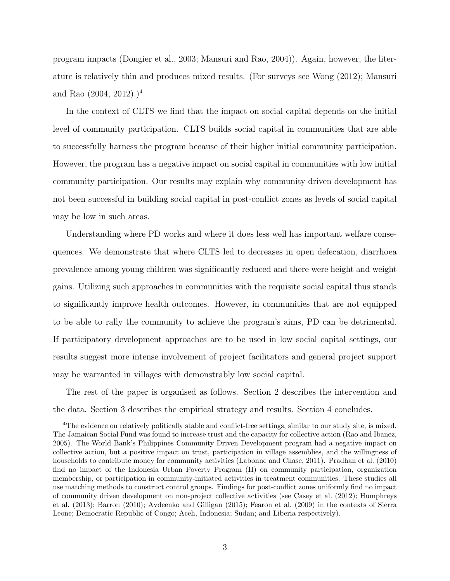program impacts (Dongier et al., 2003; Mansuri and Rao, 2004)). Again, however, the literature is relatively thin and produces mixed results. (For surveys see Wong (2012); Mansuri and Rao  $(2004, 2012).$ <sup>4</sup>

In the context of CLTS we find that the impact on social capital depends on the initial level of community participation. CLTS builds social capital in communities that are able to successfully harness the program because of their higher initial community participation. However, the program has a negative impact on social capital in communities with low initial community participation. Our results may explain why community driven development has not been successful in building social capital in post-conflict zones as levels of social capital may be low in such areas.

Understanding where PD works and where it does less well has important welfare consequences. We demonstrate that where CLTS led to decreases in open defecation, diarrhoea prevalence among young children was significantly reduced and there were height and weight gains. Utilizing such approaches in communities with the requisite social capital thus stands to significantly improve health outcomes. However, in communities that are not equipped to be able to rally the community to achieve the program's aims, PD can be detrimental. If participatory development approaches are to be used in low social capital settings, our results suggest more intense involvement of project facilitators and general project support may be warranted in villages with demonstrably low social capital.

The rest of the paper is organised as follows. Section 2 describes the intervention and the data. Section 3 describes the empirical strategy and results. Section 4 concludes.

<sup>4</sup>The evidence on relatively politically stable and conflict-free settings, similar to our study site, is mixed. The Jamaican Social Fund was found to increase trust and the capacity for collective action (Rao and Ibanez, 2005). The World Bank's Philippines Community Driven Development program had a negative impact on collective action, but a positive impact on trust, participation in village assemblies, and the willingness of households to contribute money for community activities (Labonne and Chase, 2011). Pradhan et al. (2010) find no impact of the Indonesia Urban Poverty Program (II) on community participation, organization membership, or participation in community-initiated activities in treatment communities. These studies all use matching methods to construct control groups. Findings for post-conflict zones uniformly find no impact of community driven development on non-project collective activities (see Casey et al. (2012); Humphreys et al. (2013); Barron (2010); Avdeenko and Gilligan (2015); Fearon et al. (2009) in the contexts of Sierra Leone; Democratic Republic of Congo; Aceh, Indonesia; Sudan; and Liberia respectively).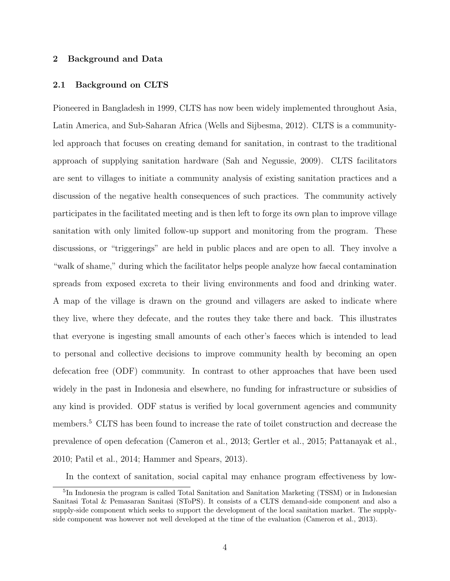#### 2 Background and Data

#### 2.1 Background on CLTS

Pioneered in Bangladesh in 1999, CLTS has now been widely implemented throughout Asia, Latin America, and Sub-Saharan Africa (Wells and Sijbesma, 2012). CLTS is a communityled approach that focuses on creating demand for sanitation, in contrast to the traditional approach of supplying sanitation hardware (Sah and Negussie, 2009). CLTS facilitators are sent to villages to initiate a community analysis of existing sanitation practices and a discussion of the negative health consequences of such practices. The community actively participates in the facilitated meeting and is then left to forge its own plan to improve village sanitation with only limited follow-up support and monitoring from the program. These discussions, or "triggerings" are held in public places and are open to all. They involve a "walk of shame," during which the facilitator helps people analyze how faecal contamination spreads from exposed excreta to their living environments and food and drinking water. A map of the village is drawn on the ground and villagers are asked to indicate where they live, where they defecate, and the routes they take there and back. This illustrates that everyone is ingesting small amounts of each other's faeces which is intended to lead to personal and collective decisions to improve community health by becoming an open defecation free (ODF) community. In contrast to other approaches that have been used widely in the past in Indonesia and elsewhere, no funding for infrastructure or subsidies of any kind is provided. ODF status is verified by local government agencies and community members.<sup>5</sup> CLTS has been found to increase the rate of toilet construction and decrease the prevalence of open defecation (Cameron et al., 2013; Gertler et al., 2015; Pattanayak et al., 2010; Patil et al., 2014; Hammer and Spears, 2013).

In the context of sanitation, social capital may enhance program effectiveness by low-

<sup>&</sup>lt;sup>5</sup>In Indonesia the program is called Total Sanitation and Sanitation Marketing (TSSM) or in Indonesian Sanitasi Total & Pemasaran Sanitasi (SToPS). It consists of a CLTS demand-side component and also a supply-side component which seeks to support the development of the local sanitation market. The supplyside component was however not well developed at the time of the evaluation (Cameron et al., 2013).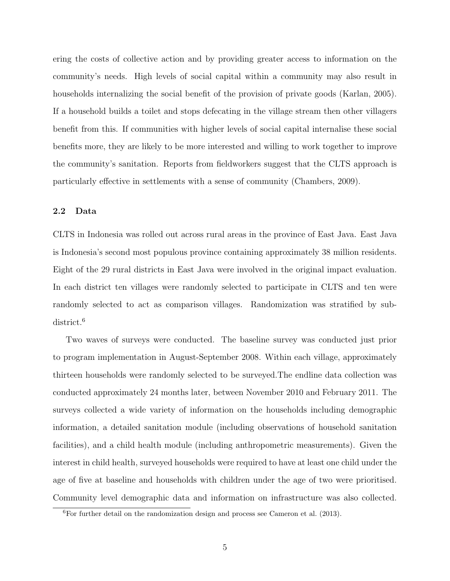ering the costs of collective action and by providing greater access to information on the community's needs. High levels of social capital within a community may also result in households internalizing the social benefit of the provision of private goods (Karlan, 2005). If a household builds a toilet and stops defecating in the village stream then other villagers benefit from this. If communities with higher levels of social capital internalise these social benefits more, they are likely to be more interested and willing to work together to improve the community's sanitation. Reports from fieldworkers suggest that the CLTS approach is particularly effective in settlements with a sense of community (Chambers, 2009).

#### 2.2 Data

CLTS in Indonesia was rolled out across rural areas in the province of East Java. East Java is Indonesia's second most populous province containing approximately 38 million residents. Eight of the 29 rural districts in East Java were involved in the original impact evaluation. In each district ten villages were randomly selected to participate in CLTS and ten were randomly selected to act as comparison villages. Randomization was stratified by subdistrict.<sup>6</sup>

Two waves of surveys were conducted. The baseline survey was conducted just prior to program implementation in August-September 2008. Within each village, approximately thirteen households were randomly selected to be surveyed.The endline data collection was conducted approximately 24 months later, between November 2010 and February 2011. The surveys collected a wide variety of information on the households including demographic information, a detailed sanitation module (including observations of household sanitation facilities), and a child health module (including anthropometric measurements). Given the interest in child health, surveyed households were required to have at least one child under the age of five at baseline and households with children under the age of two were prioritised. Community level demographic data and information on infrastructure was also collected.

 ${}^{6}$ For further detail on the randomization design and process see Cameron et al. (2013).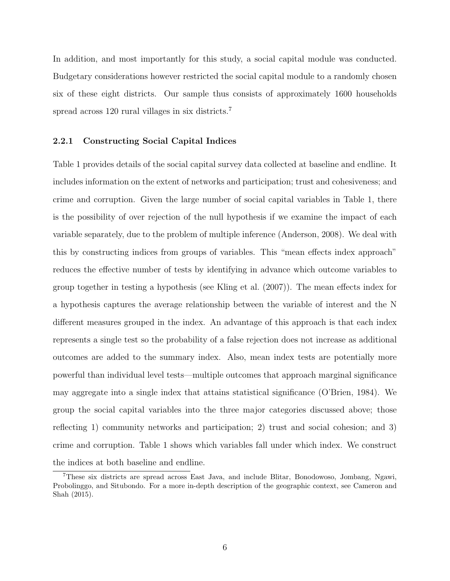In addition, and most importantly for this study, a social capital module was conducted. Budgetary considerations however restricted the social capital module to a randomly chosen six of these eight districts. Our sample thus consists of approximately 1600 households spread across 120 rural villages in six districts.<sup>7</sup>

#### 2.2.1 Constructing Social Capital Indices

Table 1 provides details of the social capital survey data collected at baseline and endline. It includes information on the extent of networks and participation; trust and cohesiveness; and crime and corruption. Given the large number of social capital variables in Table 1, there is the possibility of over rejection of the null hypothesis if we examine the impact of each variable separately, due to the problem of multiple inference (Anderson, 2008). We deal with this by constructing indices from groups of variables. This "mean effects index approach" reduces the effective number of tests by identifying in advance which outcome variables to group together in testing a hypothesis (see Kling et al. (2007)). The mean effects index for a hypothesis captures the average relationship between the variable of interest and the N different measures grouped in the index. An advantage of this approach is that each index represents a single test so the probability of a false rejection does not increase as additional outcomes are added to the summary index. Also, mean index tests are potentially more powerful than individual level tests—multiple outcomes that approach marginal significance may aggregate into a single index that attains statistical significance (O'Brien, 1984). We group the social capital variables into the three major categories discussed above; those reflecting 1) community networks and participation; 2) trust and social cohesion; and 3) crime and corruption. Table 1 shows which variables fall under which index. We construct the indices at both baseline and endline.

<sup>7</sup>These six districts are spread across East Java, and include Blitar, Bonodowoso, Jombang, Ngawi, Probolinggo, and Situbondo. For a more in-depth description of the geographic context, see Cameron and Shah (2015).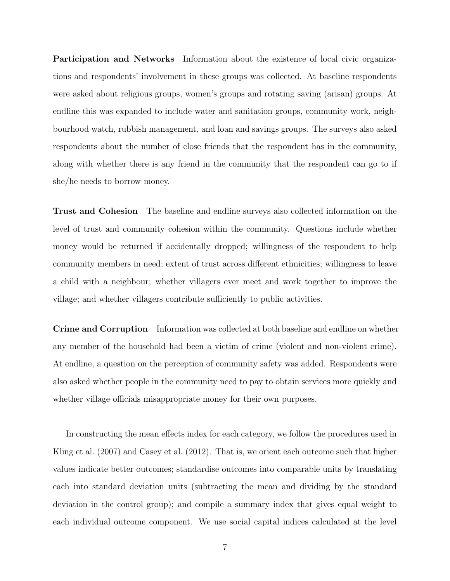Participation and Networks Information about the existence of local civic organizations and respondents' involvement in these groups was collected. At baseline respondents were asked about religious groups, women's groups and rotating saving (arisan) groups. At endline this was expanded to include water and sanitation groups, community work, neighbourhood watch, rubbish management, and loan and savings groups. The surveys also asked respondents about the number of close friends that the respondent has in the community, along with whether there is any friend in the community that the respondent can go to if she/he needs to borrow money.

Trust and Cohesion The baseline and endline surveys also collected information on the level of trust and community cohesion within the community. Questions include whether money would be returned if accidentally dropped; willingness of the respondent to help community members in need; extent of trust across different ethnicities; willingness to leave a child with a neighbour; whether villagers ever meet and work together to improve the village; and whether villagers contribute sufficiently to public activities.

Crime and Corruption Information was collected at both baseline and endline on whether any member of the household had been a victim of crime (violent and non-violent crime). At endline, a question on the perception of community safety was added. Respondents were also asked whether people in the community need to pay to obtain services more quickly and whether village officials misappropriate money for their own purposes.

In constructing the mean effects index for each category, we follow the procedures used in Kling et al. (2007) and Casey et al. (2012). That is, we orient each outcome such that higher values indicate better outcomes; standardise outcomes into comparable units by translating each into standard deviation units (subtracting the mean and dividing by the standard deviation in the control group); and compile a summary index that gives equal weight to each individual outcome component. We use social capital indices calculated at the level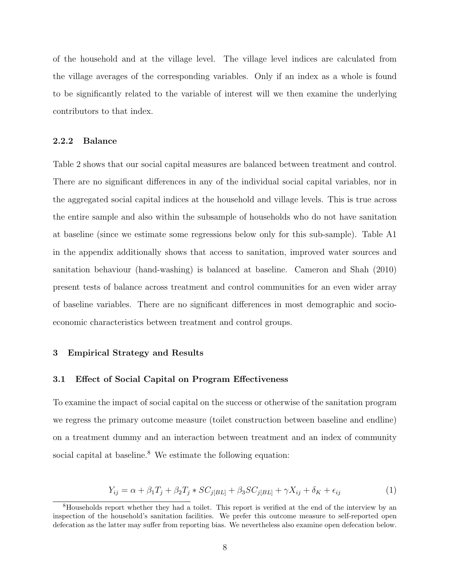of the household and at the village level. The village level indices are calculated from the village averages of the corresponding variables. Only if an index as a whole is found to be significantly related to the variable of interest will we then examine the underlying contributors to that index.

#### 2.2.2 Balance

Table 2 shows that our social capital measures are balanced between treatment and control. There are no significant differences in any of the individual social capital variables, nor in the aggregated social capital indices at the household and village levels. This is true across the entire sample and also within the subsample of households who do not have sanitation at baseline (since we estimate some regressions below only for this sub-sample). Table A1 in the appendix additionally shows that access to sanitation, improved water sources and sanitation behaviour (hand-washing) is balanced at baseline. Cameron and Shah (2010) present tests of balance across treatment and control communities for an even wider array of baseline variables. There are no significant differences in most demographic and socioeconomic characteristics between treatment and control groups.

#### 3 Empirical Strategy and Results

#### 3.1 Effect of Social Capital on Program Effectiveness

To examine the impact of social capital on the success or otherwise of the sanitation program we regress the primary outcome measure (toilet construction between baseline and endline) on a treatment dummy and an interaction between treatment and an index of community social capital at baseline.<sup>8</sup> We estimate the following equation:

$$
Y_{ij} = \alpha + \beta_1 T_j + \beta_2 T_j * SC_{j[BL]} + \beta_3 SC_{j[BL]} + \gamma X_{ij} + \delta_K + \epsilon_{ij}
$$
\n(1)

<sup>&</sup>lt;sup>8</sup>Households report whether they had a toilet. This report is verified at the end of the interview by an inspection of the household's sanitation facilities. We prefer this outcome measure to self-reported open defecation as the latter may suffer from reporting bias. We nevertheless also examine open defecation below.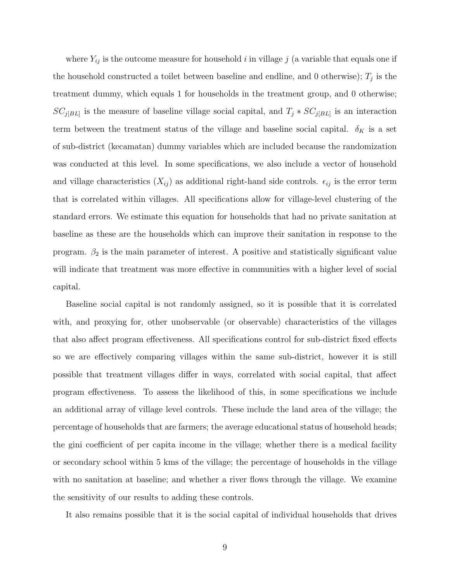where  $Y_{ij}$  is the outcome measure for household i in village j (a variable that equals one if the household constructed a toilet between baseline and endline, and 0 otherwise);  $T_j$  is the treatment dummy, which equals 1 for households in the treatment group, and 0 otherwise;  $SC_{j[BL]}$  is the measure of baseline village social capital, and  $T_j * SC_{j[BL]}$  is an interaction term between the treatment status of the village and baseline social capital.  $\delta_K$  is a set of sub-district (kecamatan) dummy variables which are included because the randomization was conducted at this level. In some specifications, we also include a vector of household and village characteristics  $(X_{ij})$  as additional right-hand side controls.  $\epsilon_{ij}$  is the error term that is correlated within villages. All specifications allow for village-level clustering of the standard errors. We estimate this equation for households that had no private sanitation at baseline as these are the households which can improve their sanitation in response to the program.  $\beta_2$  is the main parameter of interest. A positive and statistically significant value will indicate that treatment was more effective in communities with a higher level of social capital.

Baseline social capital is not randomly assigned, so it is possible that it is correlated with, and proxying for, other unobservable (or observable) characteristics of the villages that also affect program effectiveness. All specifications control for sub-district fixed effects so we are effectively comparing villages within the same sub-district, however it is still possible that treatment villages differ in ways, correlated with social capital, that affect program effectiveness. To assess the likelihood of this, in some specifications we include an additional array of village level controls. These include the land area of the village; the percentage of households that are farmers; the average educational status of household heads; the gini coefficient of per capita income in the village; whether there is a medical facility or secondary school within 5 kms of the village; the percentage of households in the village with no sanitation at baseline; and whether a river flows through the village. We examine the sensitivity of our results to adding these controls.

It also remains possible that it is the social capital of individual households that drives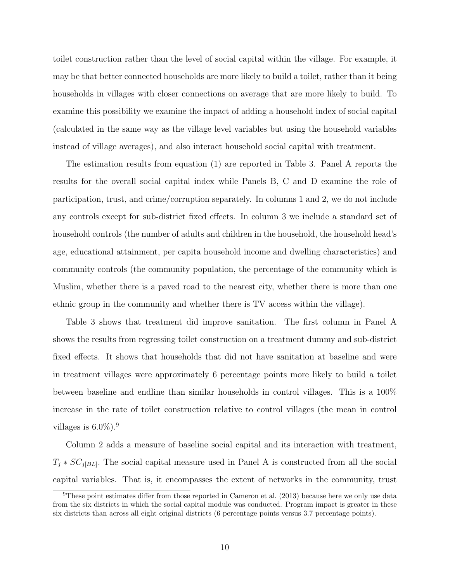toilet construction rather than the level of social capital within the village. For example, it may be that better connected households are more likely to build a toilet, rather than it being households in villages with closer connections on average that are more likely to build. To examine this possibility we examine the impact of adding a household index of social capital (calculated in the same way as the village level variables but using the household variables instead of village averages), and also interact household social capital with treatment.

The estimation results from equation (1) are reported in Table 3. Panel A reports the results for the overall social capital index while Panels B, C and D examine the role of participation, trust, and crime/corruption separately. In columns 1 and 2, we do not include any controls except for sub-district fixed effects. In column 3 we include a standard set of household controls (the number of adults and children in the household, the household head's age, educational attainment, per capita household income and dwelling characteristics) and community controls (the community population, the percentage of the community which is Muslim, whether there is a paved road to the nearest city, whether there is more than one ethnic group in the community and whether there is TV access within the village).

Table 3 shows that treatment did improve sanitation. The first column in Panel A shows the results from regressing toilet construction on a treatment dummy and sub-district fixed effects. It shows that households that did not have sanitation at baseline and were in treatment villages were approximately 6 percentage points more likely to build a toilet between baseline and endline than similar households in control villages. This is a 100% increase in the rate of toilet construction relative to control villages (the mean in control villages is  $6.0\%$ ).<sup>9</sup>

Column 2 adds a measure of baseline social capital and its interaction with treatment,  $T_j * SC_{j[BL]}$ . The social capital measure used in Panel A is constructed from all the social capital variables. That is, it encompasses the extent of networks in the community, trust

 $9$ These point estimates differ from those reported in Cameron et al. (2013) because here we only use data from the six districts in which the social capital module was conducted. Program impact is greater in these six districts than across all eight original districts (6 percentage points versus 3.7 percentage points).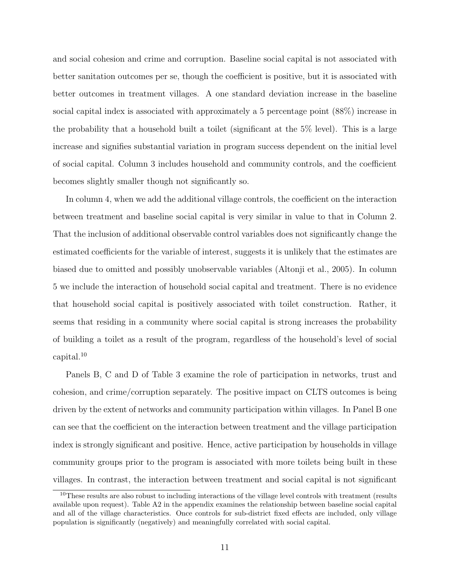and social cohesion and crime and corruption. Baseline social capital is not associated with better sanitation outcomes per se, though the coefficient is positive, but it is associated with better outcomes in treatment villages. A one standard deviation increase in the baseline social capital index is associated with approximately a 5 percentage point (88%) increase in the probability that a household built a toilet (significant at the 5% level). This is a large increase and signifies substantial variation in program success dependent on the initial level of social capital. Column 3 includes household and community controls, and the coefficient becomes slightly smaller though not significantly so.

In column 4, when we add the additional village controls, the coefficient on the interaction between treatment and baseline social capital is very similar in value to that in Column 2. That the inclusion of additional observable control variables does not significantly change the estimated coefficients for the variable of interest, suggests it is unlikely that the estimates are biased due to omitted and possibly unobservable variables (Altonji et al., 2005). In column 5 we include the interaction of household social capital and treatment. There is no evidence that household social capital is positively associated with toilet construction. Rather, it seems that residing in a community where social capital is strong increases the probability of building a toilet as a result of the program, regardless of the household's level of social capital.<sup>10</sup>

Panels B, C and D of Table 3 examine the role of participation in networks, trust and cohesion, and crime/corruption separately. The positive impact on CLTS outcomes is being driven by the extent of networks and community participation within villages. In Panel B one can see that the coefficient on the interaction between treatment and the village participation index is strongly significant and positive. Hence, active participation by households in village community groups prior to the program is associated with more toilets being built in these villages. In contrast, the interaction between treatment and social capital is not significant

<sup>10</sup>These results are also robust to including interactions of the village level controls with treatment (results available upon request). Table A2 in the appendix examines the relationship between baseline social capital and all of the village characteristics. Once controls for sub-district fixed effects are included, only village population is significantly (negatively) and meaningfully correlated with social capital.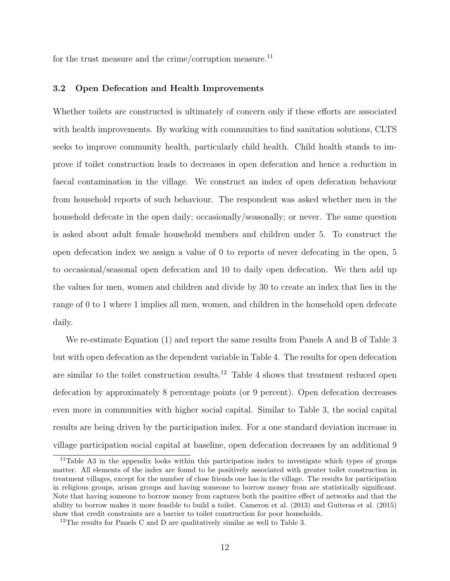for the trust measure and the crime/corruption measure.<sup>11</sup>

#### 3.2 Open Defecation and Health Improvements

Whether toilets are constructed is ultimately of concern only if these efforts are associated with health improvements. By working with communities to find sanitation solutions, CLTS seeks to improve community health, particularly child health. Child health stands to improve if toilet construction leads to decreases in open defecation and hence a reduction in faecal contamination in the village. We construct an index of open defecation behaviour from household reports of such behaviour. The respondent was asked whether men in the household defecate in the open daily; occasionally/seasonally; or never. The same question is asked about adult female household members and children under 5. To construct the open defecation index we assign a value of 0 to reports of never defecating in the open, 5 to occasional/seasonal open defecation and 10 to daily open defecation. We then add up the values for men, women and children and divide by 30 to create an index that lies in the range of 0 to 1 where 1 implies all men, women, and children in the household open defecate daily.

We re-estimate Equation (1) and report the same results from Panels A and B of Table 3 but with open defecation as the dependent variable in Table 4. The results for open defecation are similar to the toilet construction results.<sup>12</sup> Table 4 shows that treatment reduced open defecation by approximately 8 percentage points (or 9 percent). Open defecation decreases even more in communities with higher social capital. Similar to Table 3, the social capital results are being driven by the participation index. For a one standard deviation increase in village participation social capital at baseline, open defecation decreases by an additional 9

<sup>&</sup>lt;sup>11</sup>Table A3 in the appendix looks within this participation index to investigate which types of groups matter. All elements of the index are found to be positively associated with greater toilet construction in treatment villages, except for the number of close friends one has in the village. The results for participation in religious groups, arisan groups and having someone to borrow money from are statistically significant. Note that having someone to borrow money from captures both the positive effect of networks and that the ability to borrow makes it more feasible to build a toilet. Cameron et al. (2013) and Guiteras et al. (2015) show that credit constraints are a barrier to toilet construction for poor households.

 $12$ The results for Panels C and D are qualitatively similar as well to Table 3.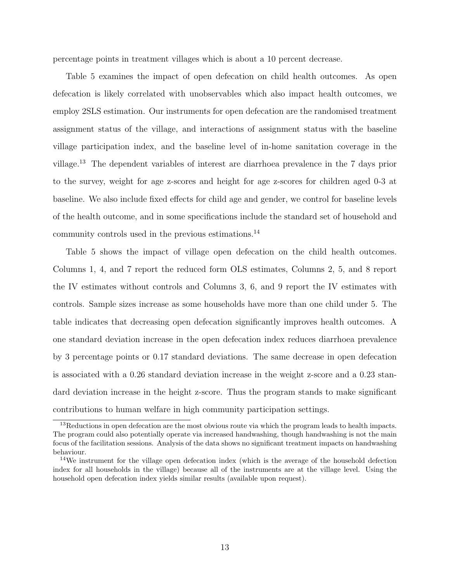percentage points in treatment villages which is about a 10 percent decrease.

Table 5 examines the impact of open defecation on child health outcomes. As open defecation is likely correlated with unobservables which also impact health outcomes, we employ 2SLS estimation. Our instruments for open defecation are the randomised treatment assignment status of the village, and interactions of assignment status with the baseline village participation index, and the baseline level of in-home sanitation coverage in the village.<sup>13</sup> The dependent variables of interest are diarrhoea prevalence in the 7 days prior to the survey, weight for age z-scores and height for age z-scores for children aged 0-3 at baseline. We also include fixed effects for child age and gender, we control for baseline levels of the health outcome, and in some specifications include the standard set of household and community controls used in the previous estimations.<sup>14</sup>

Table 5 shows the impact of village open defecation on the child health outcomes. Columns 1, 4, and 7 report the reduced form OLS estimates, Columns 2, 5, and 8 report the IV estimates without controls and Columns 3, 6, and 9 report the IV estimates with controls. Sample sizes increase as some households have more than one child under 5. The table indicates that decreasing open defecation significantly improves health outcomes. A one standard deviation increase in the open defecation index reduces diarrhoea prevalence by 3 percentage points or 0.17 standard deviations. The same decrease in open defecation is associated with a 0.26 standard deviation increase in the weight z-score and a 0.23 standard deviation increase in the height z-score. Thus the program stands to make significant contributions to human welfare in high community participation settings.

<sup>&</sup>lt;sup>13</sup>Reductions in open defecation are the most obvious route via which the program leads to health impacts. The program could also potentially operate via increased handwashing, though handwashing is not the main focus of the facilitation sessions. Analysis of the data shows no significant treatment impacts on handwashing behaviour.

<sup>&</sup>lt;sup>14</sup>We instrument for the village open defecation index (which is the average of the household defection index for all households in the village) because all of the instruments are at the village level. Using the household open defecation index yields similar results (available upon request).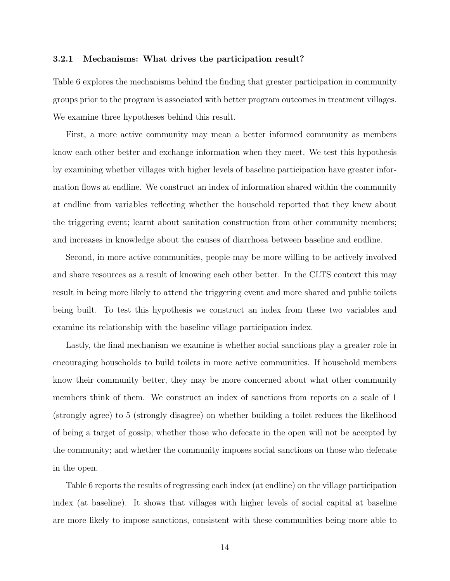#### 3.2.1 Mechanisms: What drives the participation result?

Table 6 explores the mechanisms behind the finding that greater participation in community groups prior to the program is associated with better program outcomes in treatment villages. We examine three hypotheses behind this result.

First, a more active community may mean a better informed community as members know each other better and exchange information when they meet. We test this hypothesis by examining whether villages with higher levels of baseline participation have greater information flows at endline. We construct an index of information shared within the community at endline from variables reflecting whether the household reported that they knew about the triggering event; learnt about sanitation construction from other community members; and increases in knowledge about the causes of diarrhoea between baseline and endline.

Second, in more active communities, people may be more willing to be actively involved and share resources as a result of knowing each other better. In the CLTS context this may result in being more likely to attend the triggering event and more shared and public toilets being built. To test this hypothesis we construct an index from these two variables and examine its relationship with the baseline village participation index.

Lastly, the final mechanism we examine is whether social sanctions play a greater role in encouraging households to build toilets in more active communities. If household members know their community better, they may be more concerned about what other community members think of them. We construct an index of sanctions from reports on a scale of 1 (strongly agree) to 5 (strongly disagree) on whether building a toilet reduces the likelihood of being a target of gossip; whether those who defecate in the open will not be accepted by the community; and whether the community imposes social sanctions on those who defecate in the open.

Table 6 reports the results of regressing each index (at endline) on the village participation index (at baseline). It shows that villages with higher levels of social capital at baseline are more likely to impose sanctions, consistent with these communities being more able to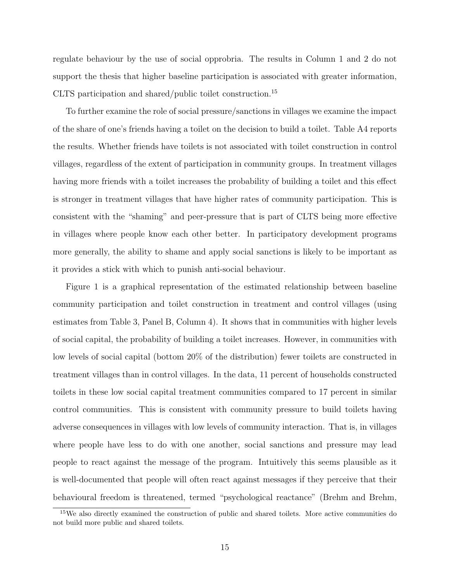regulate behaviour by the use of social opprobria. The results in Column 1 and 2 do not support the thesis that higher baseline participation is associated with greater information, CLTS participation and shared/public toilet construction.<sup>15</sup>

To further examine the role of social pressure/sanctions in villages we examine the impact of the share of one's friends having a toilet on the decision to build a toilet. Table A4 reports the results. Whether friends have toilets is not associated with toilet construction in control villages, regardless of the extent of participation in community groups. In treatment villages having more friends with a toilet increases the probability of building a toilet and this effect is stronger in treatment villages that have higher rates of community participation. This is consistent with the "shaming" and peer-pressure that is part of CLTS being more effective in villages where people know each other better. In participatory development programs more generally, the ability to shame and apply social sanctions is likely to be important as it provides a stick with which to punish anti-social behaviour.

Figure 1 is a graphical representation of the estimated relationship between baseline community participation and toilet construction in treatment and control villages (using estimates from Table 3, Panel B, Column 4). It shows that in communities with higher levels of social capital, the probability of building a toilet increases. However, in communities with low levels of social capital (bottom 20% of the distribution) fewer toilets are constructed in treatment villages than in control villages. In the data, 11 percent of households constructed toilets in these low social capital treatment communities compared to 17 percent in similar control communities. This is consistent with community pressure to build toilets having adverse consequences in villages with low levels of community interaction. That is, in villages where people have less to do with one another, social sanctions and pressure may lead people to react against the message of the program. Intuitively this seems plausible as it is well-documented that people will often react against messages if they perceive that their behavioural freedom is threatened, termed "psychological reactance" (Brehm and Brehm,

<sup>&</sup>lt;sup>15</sup>We also directly examined the construction of public and shared toilets. More active communities do not build more public and shared toilets.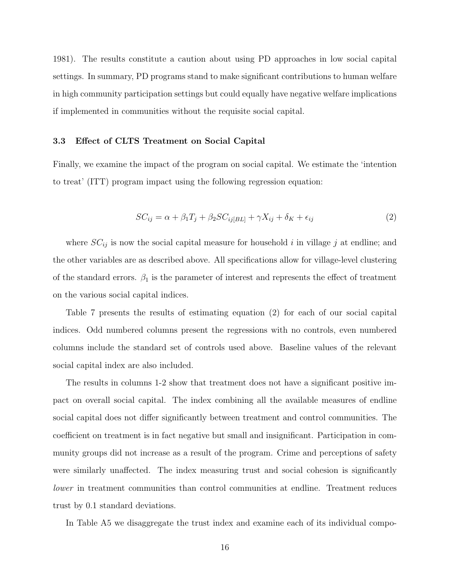1981). The results constitute a caution about using PD approaches in low social capital settings. In summary, PD programs stand to make significant contributions to human welfare in high community participation settings but could equally have negative welfare implications if implemented in communities without the requisite social capital.

#### 3.3 Effect of CLTS Treatment on Social Capital

Finally, we examine the impact of the program on social capital. We estimate the 'intention to treat' (ITT) program impact using the following regression equation:

$$
SC_{ij} = \alpha + \beta_1 T_j + \beta_2 SC_{ij|BL|} + \gamma X_{ij} + \delta_K + \epsilon_{ij}
$$
\n<sup>(2)</sup>

where  $SC_{ij}$  is now the social capital measure for household i in village j at endline; and the other variables are as described above. All specifications allow for village-level clustering of the standard errors.  $\beta_1$  is the parameter of interest and represents the effect of treatment on the various social capital indices.

Table 7 presents the results of estimating equation (2) for each of our social capital indices. Odd numbered columns present the regressions with no controls, even numbered columns include the standard set of controls used above. Baseline values of the relevant social capital index are also included.

The results in columns 1-2 show that treatment does not have a significant positive impact on overall social capital. The index combining all the available measures of endline social capital does not differ significantly between treatment and control communities. The coefficient on treatment is in fact negative but small and insignificant. Participation in community groups did not increase as a result of the program. Crime and perceptions of safety were similarly unaffected. The index measuring trust and social cohesion is significantly lower in treatment communities than control communities at endline. Treatment reduces trust by 0.1 standard deviations.

In Table A5 we disaggregate the trust index and examine each of its individual compo-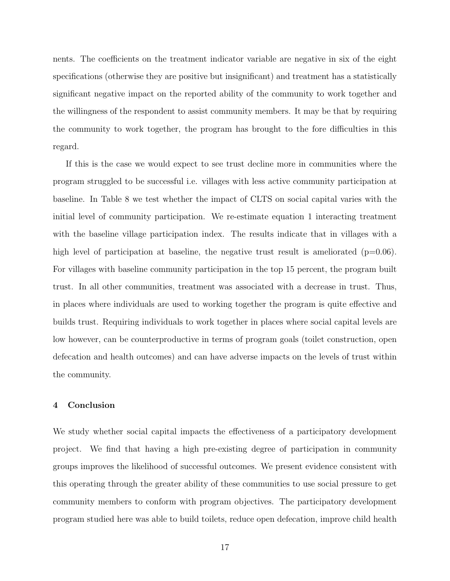nents. The coefficients on the treatment indicator variable are negative in six of the eight specifications (otherwise they are positive but insignificant) and treatment has a statistically significant negative impact on the reported ability of the community to work together and the willingness of the respondent to assist community members. It may be that by requiring the community to work together, the program has brought to the fore difficulties in this regard.

If this is the case we would expect to see trust decline more in communities where the program struggled to be successful i.e. villages with less active community participation at baseline. In Table 8 we test whether the impact of CLTS on social capital varies with the initial level of community participation. We re-estimate equation 1 interacting treatment with the baseline village participation index. The results indicate that in villages with a high level of participation at baseline, the negative trust result is ameliorated  $(p=0.06)$ . For villages with baseline community participation in the top 15 percent, the program built trust. In all other communities, treatment was associated with a decrease in trust. Thus, in places where individuals are used to working together the program is quite effective and builds trust. Requiring individuals to work together in places where social capital levels are low however, can be counterproductive in terms of program goals (toilet construction, open defecation and health outcomes) and can have adverse impacts on the levels of trust within the community.

#### 4 Conclusion

We study whether social capital impacts the effectiveness of a participatory development project. We find that having a high pre-existing degree of participation in community groups improves the likelihood of successful outcomes. We present evidence consistent with this operating through the greater ability of these communities to use social pressure to get community members to conform with program objectives. The participatory development program studied here was able to build toilets, reduce open defecation, improve child health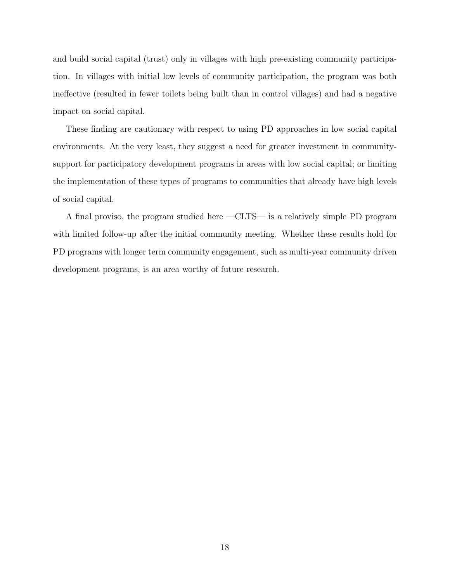and build social capital (trust) only in villages with high pre-existing community participation. In villages with initial low levels of community participation, the program was both ineffective (resulted in fewer toilets being built than in control villages) and had a negative impact on social capital.

These finding are cautionary with respect to using PD approaches in low social capital environments. At the very least, they suggest a need for greater investment in communitysupport for participatory development programs in areas with low social capital; or limiting the implementation of these types of programs to communities that already have high levels of social capital.

A final proviso, the program studied here —CLTS— is a relatively simple PD program with limited follow-up after the initial community meeting. Whether these results hold for PD programs with longer term community engagement, such as multi-year community driven development programs, is an area worthy of future research.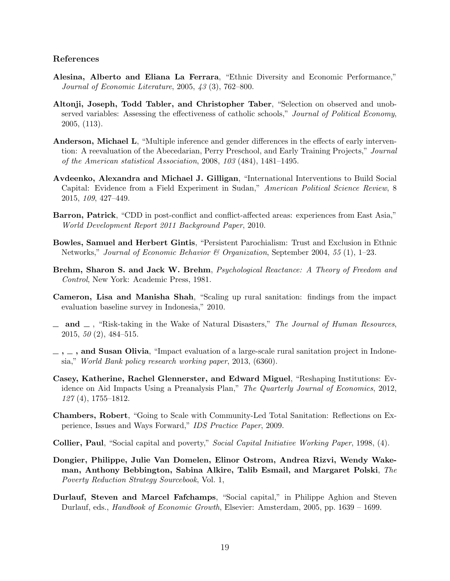#### References

- Alesina, Alberto and Eliana La Ferrara, "Ethnic Diversity and Economic Performance," Journal of Economic Literature, 2005, 43 (3), 762–800.
- Altonji, Joseph, Todd Tabler, and Christopher Taber, "Selection on observed and unobserved variables: Assessing the effectiveness of catholic schools," Journal of Political Economy, 2005, (113).
- Anderson, Michael L, "Multiple inference and gender differences in the effects of early intervention: A reevaluation of the Abecedarian, Perry Preschool, and Early Training Projects," Journal of the American statistical Association, 2008, 103 (484), 1481–1495.
- Avdeenko, Alexandra and Michael J. Gilligan, "International Interventions to Build Social Capital: Evidence from a Field Experiment in Sudan," American Political Science Review, 8 2015, 109, 427–449.
- Barron, Patrick, "CDD in post-conflict and conflict-affected areas: experiences from East Asia," World Development Report 2011 Background Paper, 2010.
- Bowles, Samuel and Herbert Gintis, "Persistent Parochialism: Trust and Exclusion in Ethnic Networks," Journal of Economic Behavior & Organization, September 2004, 55 (1), 1–23.
- Brehm, Sharon S. and Jack W. Brehm, Psychological Reactance: A Theory of Freedom and Control, New York: Academic Press, 1981.
- Cameron, Lisa and Manisha Shah, "Scaling up rural sanitation: findings from the impact evaluation baseline survey in Indonesia," 2010.
- and  $\Box$ , "Risk-taking in the Wake of Natural Disasters," The Journal of Human Resources, 2015, 50 (2), 484–515.
- $\ldots$ , and Susan Olivia, "Impact evaluation of a large-scale rural sanitation project in Indonesia," World Bank policy research working paper, 2013, (6360).
- Casey, Katherine, Rachel Glennerster, and Edward Miguel, "Reshaping Institutions: Evidence on Aid Impacts Using a Preanalysis Plan," The Quarterly Journal of Economics, 2012, 127 (4), 1755–1812.
- Chambers, Robert, "Going to Scale with Community-Led Total Sanitation: Reflections on Experience, Issues and Ways Forward," IDS Practice Paper, 2009.
- Collier, Paul, "Social capital and poverty," Social Capital Initiative Working Paper, 1998, (4).
- Dongier, Philippe, Julie Van Domelen, Elinor Ostrom, Andrea Rizvi, Wendy Wakeman, Anthony Bebbington, Sabina Alkire, Talib Esmail, and Margaret Polski, The Poverty Reduction Strategy Sourcebook, Vol. 1,
- Durlauf, Steven and Marcel Fafchamps, "Social capital," in Philippe Aghion and Steven Durlauf, eds., Handbook of Economic Growth, Elsevier: Amsterdam, 2005, pp. 1639 – 1699.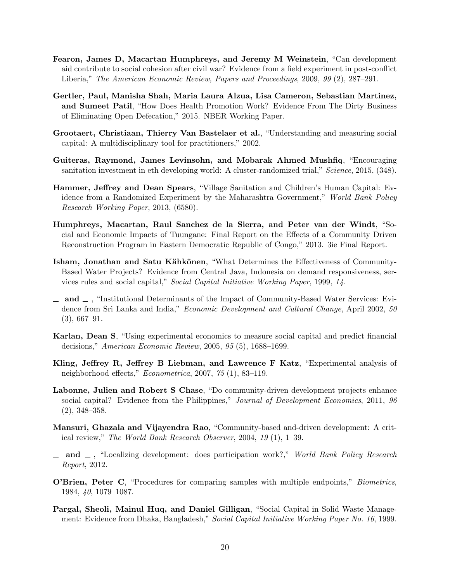- Fearon, James D, Macartan Humphreys, and Jeremy M Weinstein, "Can development aid contribute to social cohesion after civil war? Evidence from a field experiment in post-conflict Liberia," The American Economic Review, Papers and Proceedings, 2009, 99 (2), 287–291.
- Gertler, Paul, Manisha Shah, Maria Laura Alzua, Lisa Cameron, Sebastian Martinez, and Sumeet Patil, "How Does Health Promotion Work? Evidence From The Dirty Business of Eliminating Open Defecation," 2015. NBER Working Paper.
- Grootaert, Christiaan, Thierry Van Bastelaer et al., "Understanding and measuring social capital: A multidisciplinary tool for practitioners," 2002.
- Guiteras, Raymond, James Levinsohn, and Mobarak Ahmed Mushfiq, "Encouraging sanitation investment in eth developing world: A cluster-randomized trial," Science, 2015, (348).
- Hammer, Jeffrey and Dean Spears, "Village Sanitation and Children's Human Capital: Evidence from a Randomized Experiment by the Maharashtra Government," World Bank Policy Research Working Paper, 2013, (6580).
- Humphreys, Macartan, Raul Sanchez de la Sierra, and Peter van der Windt, "Social and Economic Impacts of Tuungane: Final Report on the Effects of a Community Driven Reconstruction Program in Eastern Democratic Republic of Congo," 2013. 3ie Final Report.
- Isham, Jonathan and Satu Kähkönen, "What Determines the Effectiveness of Community-Based Water Projects? Evidence from Central Java, Indonesia on demand responsiveness, services rules and social capital," Social Capital Initiative Working Paper, 1999, 14.
- $\Box$  and  $\Box$ , "Institutional Determinants of the Impact of Community-Based Water Services: Evidence from Sri Lanka and India," *Economic Development and Cultural Change*, April 2002, 50 (3), 667–91.
- Karlan, Dean S, "Using experimental economics to measure social capital and predict financial decisions," American Economic Review, 2005, 95 (5), 1688–1699.
- Kling, Jeffrey R, Jeffrey B Liebman, and Lawrence F Katz, "Experimental analysis of neighborhood effects," Econometrica, 2007, 75 (1), 83–119.
- Labonne, Julien and Robert S Chase, "Do community-driven development projects enhance social capital? Evidence from the Philippines," Journal of Development Economics, 2011, 96 (2), 348–358.
- Mansuri, Ghazala and Vijayendra Rao, "Community-based and-driven development: A critical review," The World Bank Research Observer, 2004, 19 (1), 1–39.
- $\Box$  and  $\Box$ , "Localizing development: does participation work?," World Bank Policy Research Report, 2012.
- O'Brien, Peter C, "Procedures for comparing samples with multiple endpoints," Biometrics, 1984, 40, 1079–1087.
- Pargal, Sheoli, Mainul Huq, and Daniel Gilligan, "Social Capital in Solid Waste Management: Evidence from Dhaka, Bangladesh," Social Capital Initiative Working Paper No. 16, 1999.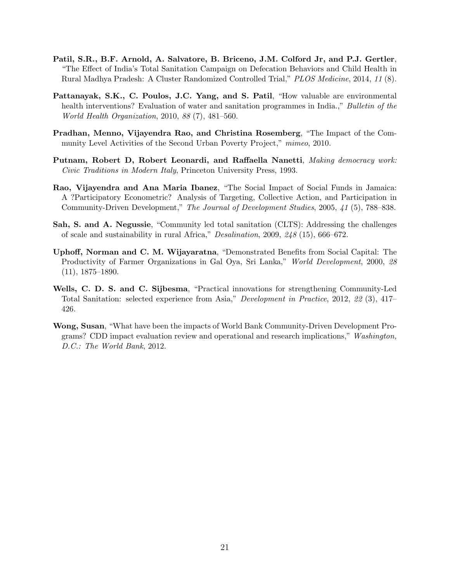- Patil, S.R., B.F. Arnold, A. Salvatore, B. Briceno, J.M. Colford Jr, and P.J. Gertler, "The Effect of India's Total Sanitation Campaign on Defecation Behaviors and Child Health in Rural Madhya Pradesh: A Cluster Randomized Controlled Trial," PLOS Medicine, 2014, 11 (8).
- Pattanayak, S.K., C. Poulos, J.C. Yang, and S. Patil, "How valuable are environmental health interventions? Evaluation of water and sanitation programmes in India.," Bulletin of the World Health Organization, 2010, 88 (7), 481–560.
- Pradhan, Menno, Vijayendra Rao, and Christina Rosemberg, "The Impact of the Community Level Activities of the Second Urban Poverty Project," mimeo, 2010.
- Putnam, Robert D, Robert Leonardi, and Raffaella Nanetti, Making democracy work: Civic Traditions in Modern Italy, Princeton University Press, 1993.
- Rao, Vijayendra and Ana Maria Ibanez, "The Social Impact of Social Funds in Jamaica: A ?Participatory Econometric? Analysis of Targeting, Collective Action, and Participation in Community-Driven Development," The Journal of Development Studies, 2005, 41 (5), 788–838.
- Sah, S. and A. Negussie, "Community led total sanitation (CLTS): Addressing the challenges of scale and sustainability in rural Africa," Desalination, 2009, 248 (15), 666–672.
- Uphoff, Norman and C. M. Wijayaratna, "Demonstrated Benefits from Social Capital: The Productivity of Farmer Organizations in Gal Oya, Sri Lanka," World Development, 2000, 28 (11), 1875–1890.
- Wells, C. D. S. and C. Sijbesma, "Practical innovations for strengthening Community-Led Total Sanitation: selected experience from Asia," Development in Practice, 2012, 22 (3), 417– 426.
- Wong, Susan, "What have been the impacts of World Bank Community-Driven Development Programs? CDD impact evaluation review and operational and research implications," Washington, D.C.: The World Bank, 2012.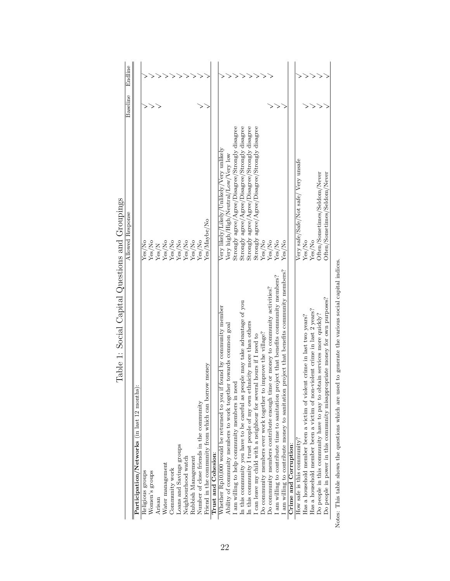|                                                                                            | Allowed Response                                              | Baseline | Endline |
|--------------------------------------------------------------------------------------------|---------------------------------------------------------------|----------|---------|
| Participation/Networks (in last 12 months)                                                 |                                                               |          |         |
| Religious groups                                                                           | Yes/No                                                        |          |         |
| Women's groups                                                                             | Yes/No                                                        |          |         |
| Arisan                                                                                     | ${\rm Yes/N}$                                                 |          |         |
| Water management                                                                           | ${\rm Yes/No}$                                                |          |         |
| Community work                                                                             | Yes/No                                                        |          |         |
| Loans and Savings groups                                                                   | Yes/No                                                        |          |         |
| Neighbourhood watch                                                                        | Yes/No                                                        |          |         |
| Rubbish Management                                                                         | Yes/No                                                        |          |         |
| Number of close friends in the community                                                   | Yes/No                                                        |          |         |
| Friend in the community from which can borrow money                                        | Yes/Maybe/No                                                  |          |         |
| Trust and Cohesion:                                                                        |                                                               |          |         |
| if found by community member<br>Whether Rp10,000 would be returned to you                  | Very likely/Likely/Unlikely/Very unlikely                     |          |         |
| Ability of community members to work together towards common goal                          | Very high/High/Neutral/Low/Very low                           |          |         |
| am willing to help community members in need                                               | Strongly agree/Agree/Disagree/Strongly disagree               |          |         |
| In this community you have to be careful as people may take advantage of you               | Strongly agree/Agree/Disagree/Strongly disagree               |          |         |
| In this community I trust people of my own ethnicity more than others                      | Strongly agree/Agree/Disagree/Strongly disagree               |          |         |
| I can leave my child with a neighbour for several hours if I need to                       | ${\rm Strongly\,\,agree/Agree/Disagree/Strongly\,\,disagree}$ |          |         |
| Do community members ever work together to improve the village?                            | Yes/No                                                        |          |         |
| Do community members contribute enough time or money to community activities?              | Yes/No                                                        |          |         |
| project that benefits community members?<br>am willing to contribute time to sanitation    | Yes/No                                                        |          |         |
| n project that benefits community members?<br>am willing to contribute money to sanitation | Yes/No                                                        |          |         |
| Crime and Corruption:                                                                      |                                                               |          |         |
| How safe is this community?                                                                | Very safe/Safe/Not safe/Very unsafe                           |          |         |
| Has a household member been a victim of violent crime in last two years?                   | Yes/No                                                        |          |         |
| Has a household member been a victim of non-violent crime in last 2 years?                 | Yes/No                                                        |          |         |
| Do people in this community have to pay to obtain services more quickly?                   | Often/Sometimes/Seldom/Never                                  |          |         |
| Do people in power in this community misappropriate money for own purposes?                | Often/Sometimes/Seldom/Never                                  |          |         |
|                                                                                            |                                                               |          |         |

Table 1: Social Capital Questions and Groupings Table 1: Social Capital Questions and Groupings

Notes: This table shows the questions which are used to generate the various social capital indices. Notes: This table shows the questions which are used to generate the various social capital indices.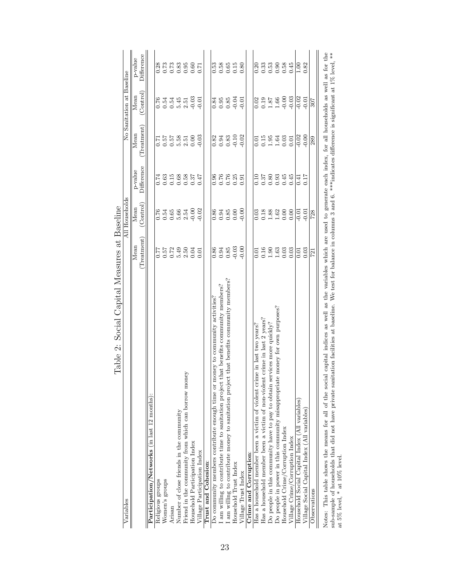| Variables                                                                                                                                                                     |                                                            | All Households                       |                       |                                             | No Sanitation at Baseline                                           |                                                                                                                                                                                                               |
|-------------------------------------------------------------------------------------------------------------------------------------------------------------------------------|------------------------------------------------------------|--------------------------------------|-----------------------|---------------------------------------------|---------------------------------------------------------------------|---------------------------------------------------------------------------------------------------------------------------------------------------------------------------------------------------------------|
|                                                                                                                                                                               | Mean                                                       | Mean                                 | p-value               | Mean                                        | Mean                                                                | p-value                                                                                                                                                                                                       |
|                                                                                                                                                                               | (The at meant)                                             | (Control)                            | Difference            | (Treatment)                                 | (Control)                                                           | Difference                                                                                                                                                                                                    |
| Participation/Networks (in last 12 months):                                                                                                                                   |                                                            |                                      |                       |                                             |                                                                     |                                                                                                                                                                                                               |
| Religious groups                                                                                                                                                              | 777                                                        | 0.76                                 | 0.74                  | 0.71                                        | 0.76                                                                | 0.28                                                                                                                                                                                                          |
| Women's groups                                                                                                                                                                |                                                            | 0.54                                 | 0.63                  | 75.0                                        |                                                                     |                                                                                                                                                                                                               |
| Arisan                                                                                                                                                                        |                                                            |                                      | $0.15$<br>$0.68$      | 75.0                                        |                                                                     |                                                                                                                                                                                                               |
| Number of close friends in the community                                                                                                                                      |                                                            |                                      |                       | 5.58                                        |                                                                     |                                                                                                                                                                                                               |
| Friend in the community from which can borrow money                                                                                                                           | $0.57$<br>$0.49$<br>$0.04$<br>$0.04$                       | $0.66$<br>$0.54$<br>$0.54$<br>$0.64$ | 0.58                  | $2.51\,$                                    | $0.5445$<br>$0.03$<br>$0.03$                                        | 523<br>633<br>600000                                                                                                                                                                                          |
| Household Participation Index                                                                                                                                                 |                                                            |                                      | 0.37                  | 0.00                                        |                                                                     |                                                                                                                                                                                                               |
| Village Participation Index                                                                                                                                                   | 0.01                                                       | $-0.02$                              | 0.47                  | $-0.03$                                     | 0.01                                                                |                                                                                                                                                                                                               |
| Trust and Cohesion:                                                                                                                                                           |                                                            |                                      |                       |                                             |                                                                     |                                                                                                                                                                                                               |
| Do community members contribute enough time or money to community activities?                                                                                                 | 0.86                                                       | $\overline{0.86}$                    | 0.96                  | 0.82                                        | 0.84                                                                | 0.53                                                                                                                                                                                                          |
| I am willing to contribute time to sanitation project that benefits community members?                                                                                        | 0.94                                                       | $0.94$<br>$0.85$<br>$0.00$           | $0.76$<br>0.76        | $0.94\,$                                    | 0.95                                                                | 0.58                                                                                                                                                                                                          |
| that benefits community members?<br>I am willing to contribute money to sanitation project                                                                                    | 0.85                                                       |                                      |                       | 0.83                                        | 0.85                                                                | 0.65                                                                                                                                                                                                          |
| Household Trust Index                                                                                                                                                         | $-0.03$                                                    |                                      | 0.25                  | $-0.10$                                     | $-0.04$                                                             | 0.15                                                                                                                                                                                                          |
| Village Trust Index                                                                                                                                                           | $-0.00$                                                    | $-0.00$                              | 0.91                  | $-0.02$                                     | 0.01                                                                | 0.80                                                                                                                                                                                                          |
| Crime and Corruption:                                                                                                                                                         |                                                            |                                      |                       |                                             |                                                                     |                                                                                                                                                                                                               |
| Has a household member been a victim of violent crime in last two years?                                                                                                      | 0.01                                                       |                                      | 0.10                  | 0.01                                        | 0.02                                                                | 0.20                                                                                                                                                                                                          |
| crime in last 2 years?<br>Has a household member been a victim of non-violent                                                                                                 |                                                            | 0388000<br>0.18900<br>0.0.1.1.0.0    | 57<br>0.8334<br>0.000 |                                             | $\begin{array}{c} 0.19 \\ 1.87 \\ 1.66 \\ 0.00 \\ 0.03 \end{array}$ | $\begin{array}{c} 33 \\ 0 \\ 0 \\ 0 \\ 0 \\ 0 \\ \end{array} \hspace{-.25cm} \begin{array}{c} 33 \\ 53 \\ 0 \\ 0 \\ 0 \\ \end{array} \hspace{-.25cm} \begin{array}{c} 33 \\ 53 \\ 0 \\ 0 \\ 0 \\ \end{array}$ |
| Do people in this community have to pay to obtain services more quickly?                                                                                                      |                                                            |                                      |                       | $\begin{array}{c} 0.15 \\ 1.95 \end{array}$ |                                                                     |                                                                                                                                                                                                               |
| money for own purposes?<br>Do people in power in this community misappropriate                                                                                                | $\begin{array}{c} 1.6 \\ 1.90 \\ 1.63 \\ 0.03 \end{array}$ |                                      |                       | $1.64$<br>0.03                              |                                                                     |                                                                                                                                                                                                               |
| Household Crime/Corruption Index                                                                                                                                              |                                                            |                                      |                       |                                             |                                                                     |                                                                                                                                                                                                               |
| Village Crime/Corruption Index                                                                                                                                                | 0.03                                                       |                                      |                       | 0.01                                        |                                                                     |                                                                                                                                                                                                               |
| Household Social Capital Index (All variables)                                                                                                                                | 0.01                                                       | $-0.01$                              | 0.41                  | $-0.02$                                     | $-0.02$                                                             | 00.1                                                                                                                                                                                                          |
| Village Social Capital Index (All variables)                                                                                                                                  | 0.03                                                       | $-0.01$                              | 71.0                  | $-0.00$                                     | $-0.01$                                                             | 0.82                                                                                                                                                                                                          |
| Observations                                                                                                                                                                  | $\overline{121}$                                           | 728                                  |                       | 289                                         | 307                                                                 |                                                                                                                                                                                                               |
| Notes: This table shows the means for all of the social capital indices as well as the variables which are used to generate each index, for all households as well as for the |                                                            |                                      |                       |                                             |                                                                     |                                                                                                                                                                                                               |

Table 2: Social Capital Measures at Baseline Table 2: Social Capital Measures at Baseline

solutions and the second and the private sanitation facilities at baseline. We test for balance in columns 3 and 6. \*\*\*indicates difference is significant at 1% level, \*\*<br>at 5% level, \* at 10% level.<br>at 5% level, \* at 10% Notes: This table shows the means for all of the social capital indices as well as the variables which are used to generate each index, for all households as well as for the sub-sample of households that did not have private sanitation facilities at baseline. We test for balance in columns 3 and 6. \*\*\*indicates difference is significant at 1% level, \*\*\* at 5% level, \* at 10% level.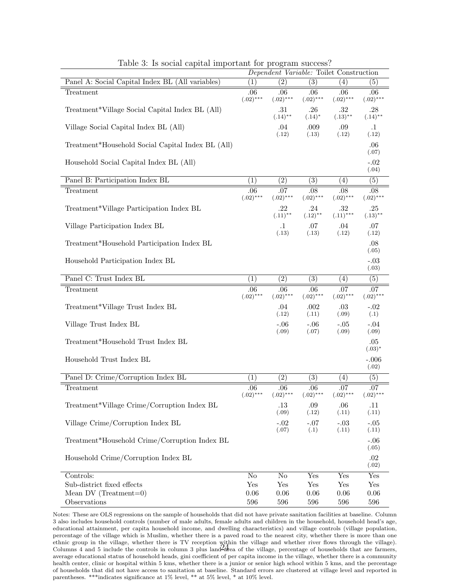|                                                   |                    |                     | Dependent Variable: Toilet Construction |                    |                       |
|---------------------------------------------------|--------------------|---------------------|-----------------------------------------|--------------------|-----------------------|
| Panel A: Social Capital Index BL (All variables)  | (1)                | (2)                 | (3)                                     | $\left( 4\right)$  | (5)                   |
| Treatment                                         | .06<br>$(.02)$ *** | .06<br>$(.02)$ ***  | .06<br>$(.02)$ ***                      | .06<br>$(.02)$ *** | .06<br>$(.02)$ ***    |
| Treatment*Village Social Capital Index BL (All)   |                    | .31<br>$(.14)$ **   | .26<br>$(.14)^*$                        | .32<br>$(.13)$ **  | .28<br>$(.14)$ **     |
| Village Social Capital Index BL (All)             |                    | .04<br>(.12)        | .009<br>(.13)                           | .09<br>(.12)       | $\cdot$ 1<br>(.12)    |
| Treatment*Household Social Capital Index BL (All) |                    |                     |                                         |                    | .06<br>(.07)          |
| Household Social Capital Index BL (All)           |                    |                     |                                         |                    | $-.02$<br>(.04)       |
| Panel B: Participation Index BL                   | $\left( 1\right)$  | $\left( 2\right)$   | (3)                                     | (4)                | (5)                   |
| Treatment                                         | .06<br>$(.02)$ *** | .07<br>$(.02)$ ***  | .08<br>$(.02)$ ***                      | .08<br>$(.02)$ *** | .08<br>$(.02)$ ***    |
| Treatment*Village Participation Index BL          |                    | .22<br>$(.11)^{**}$ | .24<br>$(.12)$ **                       | .32<br>$(.11)$ *** | $.25\,$<br>$(.13)$ ** |
| Village Participation Index BL                    |                    | $\cdot$ 1<br>(.13)  | .07<br>(.13)                            | .04<br>(.12)       | .07<br>(.12)          |
| Treatment*Household Participation Index BL        |                    |                     |                                         |                    | .08<br>(.05)          |
| Household Participation Index BL                  |                    |                     |                                         |                    | $-.03$<br>(.03)       |
| Panel C: Trust Index BL                           | (1)                | (2)                 | (3)                                     | (4)                | (5)                   |
| Treatment                                         | .06<br>$(.02)$ *** | .06<br>$(.02)$ ***  | .06<br>$(.02)$ ***                      | .07<br>$(.02)$ *** | .07<br>$(.02)$ ***    |
| Treatment*Village Trust Index BL                  |                    | .04<br>(.12)        | .002<br>(.11)                           | .03<br>(.09)       | $-.02$<br>(.1)        |
| Village Trust Index BL                            |                    | $-.06$<br>(.09)     | $-.06$<br>(.07)                         | $-.05$<br>(.09)    | $-.04$<br>(.09)       |
| Treatment*Household Trust Index BL                |                    |                     |                                         |                    | .05<br>$(.03)^*$      |
| Household Trust Index BL                          |                    |                     |                                         |                    | $-.006$<br>(.02)      |
| Panel D: Crime/Corruption Index BL                | (1)                | (2)                 | (3)                                     | $\left( 4\right)$  | (5)                   |
| Treatment                                         | .06<br>$(.02)$ *** | .06<br>$(.02)$ ***  | .06<br>$(.02)$ ***                      | .07<br>$(.02)$ *** | .07<br>$(.02)$ ***    |
| Treatment*Village Crime/Corruption Index BL       |                    | .13<br>(.09)        | .09<br>(.12)                            | .06<br>(.11)       | .11<br>(.11)          |
| Village Crime/Corruption Index BL                 |                    | $-.02$<br>(.07)     | $-.07$<br>(.1)                          | $-.03$<br>(.11)    | $-.05$<br>(.11)       |
| Treatment*Household Crime/Corruption Index BL     |                    |                     |                                         |                    | $-.06$<br>(.05)       |
| Household Crime/Corruption Index BL               |                    |                     |                                         |                    | .02<br>(.02)          |
| Controls:                                         | No                 | $\rm No$            | Yes                                     | Yes                | Yes                   |
| Sub-district fixed effects                        | Yes                | Yes                 | Yes                                     | Yes                | Yes                   |
| Mean DV $(Treatment=0)$                           | 0.06               | 0.06                | 0.06                                    | 0.06               | $0.06\,$              |
| Observations                                      | 596                | 596                 | 596                                     | $596\,$            | $596\,$               |

Table 3: Is social capital important for program success?

Notes: These are OLS regressions on the sample of households that did not have private sanitation facilities at baseline. Column 3 also includes household controls (number of male adults, female adults and children in the household, household head's age, educational attainment, per capita household income, and dwelling characteristics) and village controls (village population, percentage of the village which is Muslim, whether there is a paved road to the nearest city, whether there is more than one ethnic group in the village, whether there is TV reception within the village and whether river flows through the village). Columns 4 and 5 include the controls in column 3 plus land area of the village, percentage of households that are farmers, average educational status of household heads, gini coefficient of per capita income in the village, whether there is a community health center, clinic or hospital within 5 kms, whether there is a junior or senior high school within 5 kms, and the percentage of households that did not have access to sanitation at baseline. Standard errors are clustered at village level and reported in parentheses. \*\*\*indicates significance at 1% level, \*\* at 5% level, \* at 10% level.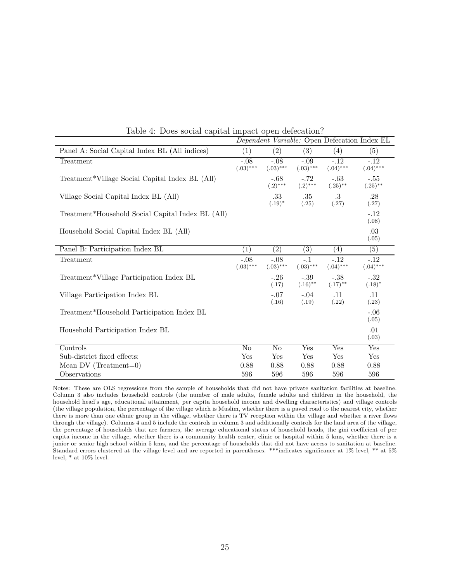|                                                   |                       |                       |                       |                       | Dependent Variable: Open Defecation Index EL |
|---------------------------------------------------|-----------------------|-----------------------|-----------------------|-----------------------|----------------------------------------------|
| Panel A: Social Capital Index BL (All indices)    | (1)                   | (2)                   | (3)                   | (4)                   | (5)                                          |
| Treatment                                         | $-.08$<br>$(.03)$ *** | $-.08$<br>$(.03)$ *** | $-.09$<br>$(.03)$ *** | $-.12$<br>$(.04)$ *** | $-.12$<br>$(.04)$ ***                        |
| Treatment*Village Social Capital Index BL (All)   |                       | $-.68$<br>$(.2)$ ***  | $-.72$<br>$(.2)$ ***  | $-.63$<br>$(.25)$ **  | $-.55$<br>$(.25)$ **                         |
| Village Social Capital Index BL (All)             |                       | .33<br>$(.19)^*$      | .35<br>(.25)          | $.3\,$<br>(.27)       | .28<br>(.27)                                 |
| Treatment*Household Social Capital Index BL (All) |                       |                       |                       |                       | $-.12$<br>(.08)                              |
| Household Social Capital Index BL (All)           |                       |                       |                       |                       | .03<br>(.05)                                 |
| Panel B: Participation Index BL                   | $\left( 1\right)$     | $\left( 2\right)$     | (3)                   | $\left( 4\right)$     | (5)                                          |
| Treatment                                         | $-.08$<br>$(.03)$ *** | $-.08$<br>$(.03)$ *** | $-.1$<br>$(.03)$ ***  | $-.12$<br>$(.04)$ *** | $-.12$<br>$(.04)$ ***                        |
| Treatment*Village Participation Index BL          |                       | $-.26$<br>(.17)       | $-.39$<br>$(.16)$ **  | $-.38$<br>$(.17)$ **  | $-.32$<br>$(.18)^*$                          |
| Village Participation Index BL                    |                       | $-.07$<br>(.16)       | $-.04$<br>(.19)       | .11<br>(.22)          | .11<br>(.23)                                 |
| Treatment*Household Participation Index BL        |                       |                       |                       |                       | $-.06$<br>(.05)                              |
| Household Participation Index BL                  |                       |                       |                       |                       | .01<br>(.03)                                 |
| Controls                                          | N <sub>o</sub>        | $\rm No$              | Yes                   | Yes                   | Yes                                          |
| Sub-district fixed effects:                       | Yes                   | Yes                   | Yes                   | Yes                   | Yes                                          |
| Mean DV $(Treatment=0)$                           | 0.88                  | 0.88                  | 0.88                  | 0.88                  | 0.88                                         |
| Observations                                      | 596                   | 596                   | 596                   | 596                   | 596                                          |

Table 4: Does social capital impact open defecation?

Notes: These are OLS regressions from the sample of households that did not have private sanitation facilities at baseline. Column 3 also includes household controls (the number of male adults, female adults and children in the household, the household head's age, educational attainment, per capita household income and dwelling characteristics) and village controls (the village population, the percentage of the village which is Muslim, whether there is a paved road to the nearest city, whether there is more than one ethnic group in the village, whether there is TV reception within the village and whether a river flows through the village). Columns 4 and 5 include the controls in column 3 and additionally controls for the land area of the village, the percentage of households that are farmers, the average educational status of household heads, the gini coefficient of per capita income in the village, whether there is a community health center, clinic or hospital within 5 kms, whether there is a junior or senior high school within 5 kms, and the percentage of households that did not have access to sanitation at baseline. Standard errors clustered at the village level and are reported in parentheses. \*\*\*indicates significance at 1% level, \*\* at 5% level,  $^*$  at  $10\%$  level.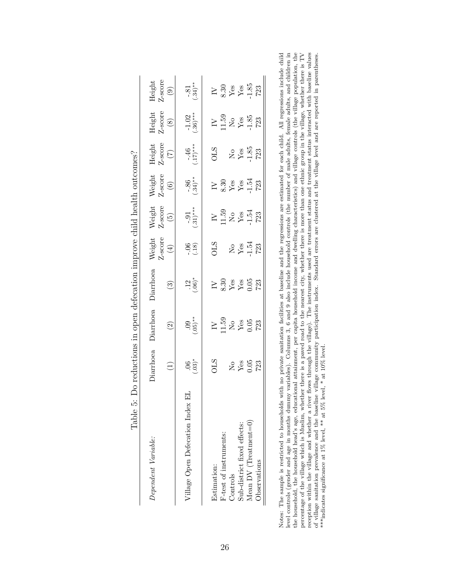| Dependent Variable:              | $_{\rm iarrhoea}$         | Jiarrhoea                                      | Jiarrhoea                                        | Weight<br>Z-score<br>(4)                 |                                                                  | $\begin{array}{c} \text{Weight} \\ \text{I-score} \\ \text{(6)} \end{array}$ | Height<br>$Z$ -score<br>(7)         | Height<br>$Z$ -score<br>(8)                                      |                          |
|----------------------------------|---------------------------|------------------------------------------------|--------------------------------------------------|------------------------------------------|------------------------------------------------------------------|------------------------------------------------------------------------------|-------------------------------------|------------------------------------------------------------------|--------------------------|
|                                  | $\widehat{\Xi}$           | $\odot$                                        | $\odot$                                          |                                          | Weight<br>Z-score<br>(5)                                         |                                                                              |                                     |                                                                  | Height<br>Z-score<br>(9) |
| Village Open Defecation Index EL | $9\overset{*}{\circ}$     | $^{**}$ (.05) <sup>*</sup>                     | $12^{*}$<br>$(06)^{*}$                           | $^{(81.)}$                               | $(-.91)$ **                                                      | $-86$<br>(.34)**                                                             | $-46$<br>***(11)                    | $-1.02$<br>$(36)***$                                             | $-81$<br>(.34)**         |
| Estimation:                      | STC                       |                                                |                                                  | STC                                      |                                                                  |                                                                              | STO                                 |                                                                  |                          |
| F-test of instruments:           |                           |                                                |                                                  |                                          |                                                                  |                                                                              |                                     |                                                                  |                          |
| Controls                         |                           |                                                |                                                  |                                          |                                                                  |                                                                              |                                     |                                                                  |                          |
| Sub-district fixed effects:      |                           |                                                |                                                  |                                          |                                                                  |                                                                              |                                     |                                                                  |                          |
| Mean DV (Treatment=0)            | <b>Nes</b><br>1955<br>723 | $\frac{11.59}{11.59}$<br>$\frac{10.59}{10.05}$ | $N_{250}$<br>$Y_{250}$<br>$Y_{250}$<br>$Y_{230}$ | $X_{0.54}^{\circ}$<br>$X_{1.54}^{\circ}$ | $\frac{1.59}{1.50}$<br>$\frac{1.59}{1.54}$<br>$\frac{1.54}{723}$ | $\frac{18.30}{1.54}$<br>$\frac{1.54}{1.53}$                                  | $X_{0.85}^{0}$<br>$X_{1.85}^{0.85}$ | $\frac{1.59}{1.50}$<br>$\frac{1.59}{1.85}$<br>$\frac{1.85}{723}$ |                          |
| Observations                     |                           |                                                |                                                  |                                          |                                                                  |                                                                              |                                     |                                                                  |                          |

Table 5: Do reductions in open defecation improve child health outcomes? Table 5: Do reductions in open defecation improve child health outcomes? Notes: The sample is restricted to households with no private sanitation facilities at haseline and the regressions are estimated for each child. All regressions include child level controls (gender and age in months dumn Notes: The sample is restricted to households with no private sanitation facilities at baseline and the regressions are estimated for each child. All regressions include child level controls (gender and age in months dummy variables). Columns 3, 6 and 9 also include household controls (the number of male adults, female adults, and children in the household, the household head's age, educational attainment, per capita household income and dwelling characteristics) and village controls (the village population, the percentage of the village which is Muslim, whether there is a paved road to the nearest city, whether there is more than one ethnic group in the village, whether there is TV reception within the village and whether a river flows through the village). The instruments used are treatment status and treatment status interacted with baseline values of village sanitation prevalence and the baseline village community participation index. Standard errors are clustered at the village level and are reported in parentheses. \*\*\*indicates significance at 1% level, \*\* at 5% level, \* at 10% level.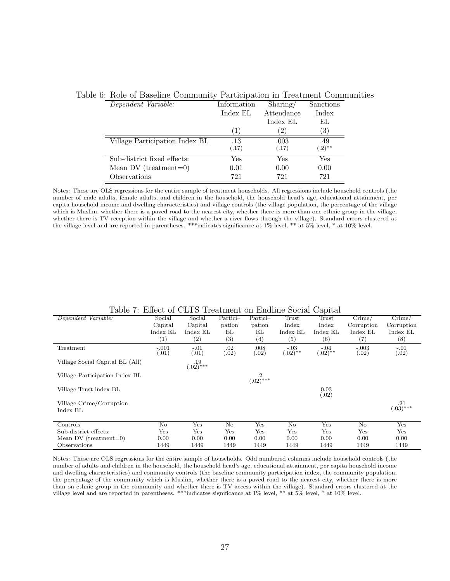| $D$ e $p$ enaent variavie.     | пшогшалоп        | $\mathcal{Q}$ lidi ilik $\mathcal{V}$ | рапсылы   |
|--------------------------------|------------------|---------------------------------------|-----------|
|                                | Index EL         | Attendance                            | Index     |
|                                |                  | Index EL                              | ΕL        |
|                                | $\left(1\right)$ | $^{\prime}2)$                         | (3)       |
| Village Participation Index BL | .13              | .003                                  | .49       |
|                                | (.17)            | (.17)                                 | $(.2)$ ** |
| Sub-district fixed effects:    | Yes              | Yes                                   | Yes       |
| Mean DV (treatment=0)          | 0.01             | 0.00                                  | 0.00      |
| Observations                   | 721              | 721                                   | 721       |

| Table 6: Role of Baseline Community Participation in Treatment Communities |                               |  |
|----------------------------------------------------------------------------|-------------------------------|--|
| $D$ onondont $U$ amiablac                                                  | Information Charing Constions |  |

Notes: These are OLS regressions for the entire sample of treatment households. All regressions include household controls (the number of male adults, female adults, and children in the household, the household head's age, educational attainment, per capita household income and dwelling characteristics) and village controls (the village population, the percentage of the village which is Muslim, whether there is a paved road to the nearest city, whether there is more than one ethnic group in the village, whether there is TV reception within the village and whether a river flows through the village). Standard errors clustered at the village level and are reported in parentheses. \*\*\*indicates significance at 1% level, \*\* at 5% level, \* at 10% level.

#### Table 7: Effect of CLTS Treatment on Endline Social Capital

| Dependent Variable:             | Social           | Social             | Partici-     | Partici-         | Trust                | Trust                | Crime/           | $\overline{\text{C}}$ rime/ |
|---------------------------------|------------------|--------------------|--------------|------------------|----------------------|----------------------|------------------|-----------------------------|
|                                 | Capital          | Capital            | pation       | pation           | Index                | Index                | Corruption       | Corruption                  |
|                                 | Index EL         | Index EL           | EL           | EL               | Index EL             | Index EL             | Index EL         | Index EL                    |
|                                 | (1)              | (2)                | $^{(3)}$     | $^{(4)}$         | (5)                  | (6)                  | (7)              | (8)                         |
| Treatment                       | $-.001$<br>(.01) | $-.01$<br>(.01)    | .02<br>(.02) | .008<br>(.02)    | $-.03$<br>$(.02)$ ** | $-.04$<br>$(.02)$ ** | $-.003$<br>(.02) | $-.01$<br>(.02)             |
| Village Social Capital BL (All) |                  | $.19$<br>$.02)***$ |              |                  |                      |                      |                  |                             |
| Village Participation Index BL  |                  |                    |              | $(0.02)^{2}$ *** |                      |                      |                  |                             |
| Village Trust Index BL          |                  |                    |              |                  |                      | 0.03<br>(.02)        |                  |                             |
| Village Crime/Corruption        |                  |                    |              |                  |                      |                      |                  | $(0.03)$ ***                |
| $Index$ $BL$                    |                  |                    |              |                  |                      |                      |                  |                             |
| Controls                        | No               | Yes                | $\rm No$     | Yes              | No                   | Yes                  | No               | Yes                         |
| Sub-district effects:           | $_{\rm Yes}$     | Yes                | Yes          | Yes              | Yes                  | Yes                  | Yes              | Yes                         |
| Mean DV $(treatment=0)$         | 0.00             | 0.00               | 0.00         | 0.00             | 0.00                 | 0.00                 | 0.00             | 0.00                        |
| Observations                    | 1449             | 1449               | 1449         | 1449             | 1449                 | 1449                 | 1449             | 1449                        |

Notes: These are OLS regressions for the entire sample of households. Odd numbered columns include household controls (the number of adults and children in the household, the household head's age, educational attainment, per capita household income and dwelling characteristics) and community controls (the baseline community participation index, the community population, the percentage of the community which is Muslim, whether there is a paved road to the nearest city, whether there is more than on ethnic group in the community and whether there is TV access within the village). Standard errors clustered at the village level and are reported in parentheses. \*\*\*indicates significance at 1% level, \*\* at 5% level, \* at 10% level.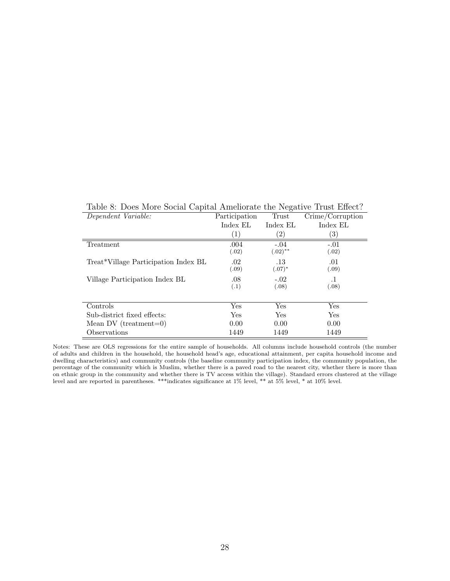| Dependent Variable:                  | Participation    | Trust             | Crime/Corruption  |
|--------------------------------------|------------------|-------------------|-------------------|
|                                      | Index EL         | Index EL          | Index EL          |
|                                      | $\left(1\right)$ | $\left( 2\right)$ | $\left( 3\right)$ |
| Treatment                            | .004             | $-.04$            | $-.01$            |
|                                      | (.02)            | $(.02)$ **        | (.02)             |
| Treat*Village Participation Index BL | .02              | .13               | .01               |
|                                      | (.09)            | $(.07)^*$         | (.09)             |
| Village Participation Index BL       | .08              | $-.02$            | $\cdot$ 1         |
|                                      | (.1)             | (.08)             | (.08)             |
|                                      |                  |                   |                   |
| Controls                             | Yes              | Yes               | Yes               |
| Sub-district fixed effects:          | Yes              | Yes               | Yes               |
| Mean DV (treatment=0)                | 0.00             | 0.00              | 0.00              |
| <i><b>Observations</b></i>           | 1449             | 1449              | 1449              |

Table 8: Does More Social Capital Ameliorate the Negative Trust Effect?

Notes: These are OLS regressions for the entire sample of households. All columns include household controls (the number of adults and children in the household, the household head's age, educational attainment, per capita household income and dwelling characteristics) and community controls (the baseline community participation index, the community population, the percentage of the community which is Muslim, whether there is a paved road to the nearest city, whether there is more than on ethnic group in the community and whether there is TV access within the village). Standard errors clustered at the village level and are reported in parentheses. \*\*\*indicates significance at 1% level, \*\* at 5% level, \* at 10% level.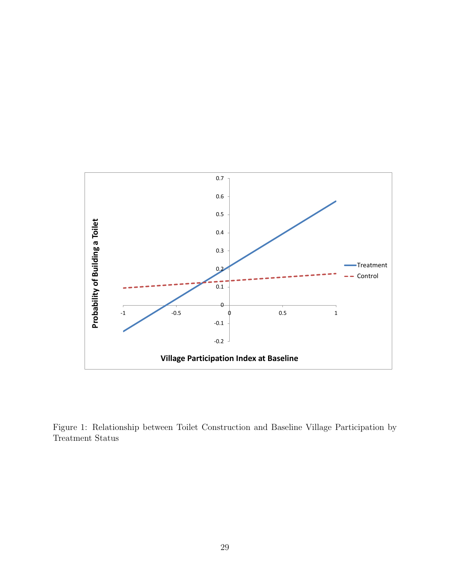

Figure 1: Relationship between Toilet Construction and Baseline Village Participation by Treatment Status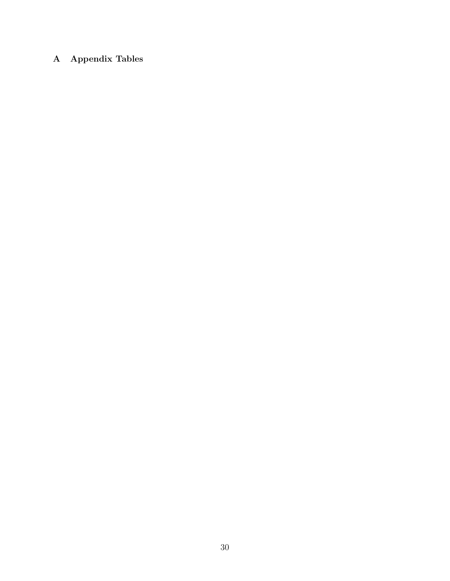# A Appendix Tables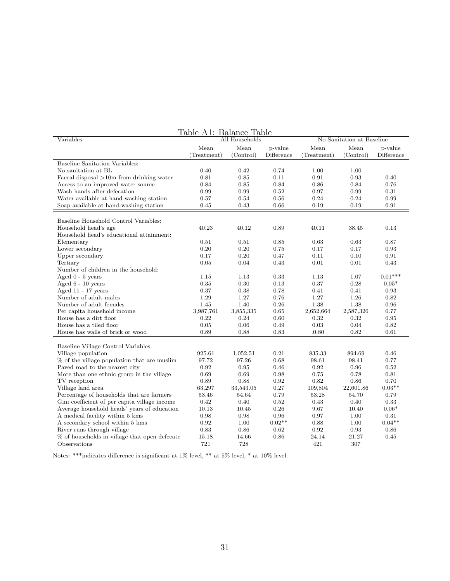| Variables                                     | .                | Daiaince Iar<br>All Households |            |             | No Sanitation at Baseline |            |
|-----------------------------------------------|------------------|--------------------------------|------------|-------------|---------------------------|------------|
|                                               | Mean             | Mean                           | p-value    | Mean        | Mean                      | p-value    |
|                                               | (Treatment)      | (Control)                      | Difference | (Treatment) | (Control)                 | Difference |
| <b>Baseline Sanitation Variables:</b>         |                  |                                |            |             |                           |            |
| No sanitation at BL                           | 0.40             | 0.42                           | 0.74       | 1.00        | 1.00                      |            |
| Faecal disposal $>10m$ from drinking water    | 0.81             | 0.85                           | 0.11       | 0.91        | 0.93                      | 0.40       |
| Access to an improved water source            | 0.84             | 0.85                           | 0.84       | 0.86        | 0.84                      | 0.76       |
| Wash hands after defecation                   | 0.99             | 0.99                           | 0.52       | 0.97        | 0.99                      | 0.31       |
| Water available at hand-washing station       | 0.57             | 0.54                           | 0.56       | 0.24        | 0.24                      | 0.99       |
| Soap available at hand-washing station        | 0.45             | 0.43                           | 0.66       | 0.19        | 0.19                      | 0.91       |
|                                               |                  |                                |            |             |                           |            |
| Baseline Household Control Variables:         |                  |                                |            |             |                           |            |
| Household head's age                          | 40.23            | 40.12                          | 0.89       | 40.11       | 38.45                     | 0.13       |
| Household head's educational attainment:      |                  |                                |            |             |                           |            |
| Elementary                                    | 0.51             | 0.51                           | 0.85       | 0.63        | 0.63                      | 0.87       |
| Lower secondary                               | 0.20             | 0.20                           | 0.75       | 0.17        | 0.17                      | 0.93       |
| Upper secondary                               | 0.17             | 0.20                           | 0.47       | 0.11        | 0.10                      | 0.91       |
| Tertiary                                      | 0.05             | 0.04                           | 0.43       | 0.01        | 0.01                      | 0.43       |
| Number of children in the household:          |                  |                                |            |             |                           |            |
| Aged $0 - 5$ years                            | 1.15             | 1.13                           | 0.33       | 1.13        | 1.07                      | $0.01***$  |
| Aged 6 - 10 years                             | 0.35             | 0.30                           | 0.13       | 0.37        | 0.28                      | $0.05*$    |
| Aged $11 - 17$ years                          | 0.37             | 0.38                           | 0.78       | 0.41        | 0.41                      | 0.93       |
| Number of adult males                         | 1.29             | 1.27                           | 0.76       | 1.27        | 1.26                      | 0.82       |
| Number of adult females                       | 1.45             | 1.40                           | 0.26       | 1.38        | 1.38                      | 0.96       |
| Per capita household income                   | 3,987,761        | 3,855,335                      | 0.65       | 2,652,664   | 2,587,326                 | 0.77       |
| House has a dirt floor                        | 0.22             | 0.24                           | 0.60       | 0.32        | 0.32                      | 0.95       |
| House has a tiled floor                       | 0.05             | 0.06                           | 0.49       | 0.03        | 0.04                      | 0.82       |
| House has walls of brick or wood              | 0.89             | 0.88                           | 0.83       | .0.80       | 0.82                      | 0.61       |
|                                               |                  |                                |            |             |                           |            |
| Baseline Village Control Variables:           |                  |                                |            |             |                           |            |
| Village population                            | 925.61           | 1,052.51                       | 0.21       | 835.33      | 894.69                    | 0.46       |
| % of the village population that are muslim   | 97.72            | 97.26                          | 0.68       | 98.61       | 98.41                     | 0.77       |
| Paved road to the nearest city                | 0.92             | 0.95                           | 0.46       | 0.92        | 0.96                      | 0.52       |
| More than one ethnic group in the village     | 0.69             | 0.69                           | 0.98       | 0.75        | 0.78                      | 0.81       |
| TV reception                                  | 0.89             | 0.88                           | 0.92       | 0.82        | 0.86                      | 0.70       |
| Village land area                             | 63,297           | 33,543.05                      | 0.27       | 109,804     | 22,601.86                 | $0.03**$   |
| Percentage of households that are farmers     | 53.46            | 54.64                          | 0.79       | 53.28       | 54.70                     | 0.79       |
| Gini coefficient of per capita village income | 0.42             | 0.40                           | $\rm 0.52$ | 0.43        | 0.40                      | 0.33       |
| Average household heads' years of education   | 10.13            | 10.45                          | 0.26       | 9.67        | 10.40                     | $0.06*$    |
| A medical facility within 5 kms               | 0.98             | 0.98                           | 0.96       | 0.97        | 1.00                      | 0.31       |
| A secondary school within 5 kms               | 0.92             | 1.00                           | $0.02**$   | 0.88        | 1.00                      | $0.04**$   |
| River runs through village                    | 0.83             | 0.86                           | 0.62       | 0.92        | 0.93                      | 0.86       |
| % of households in village that open defecate | 15.18            | 14.66                          | 0.86       | 24.14       | 21.27                     | 0.45       |
| Observations                                  | $\overline{721}$ | 728                            |            | 421         | 307                       |            |

Table A1: Balance Table

Notes: \*\*\*indicates difference is significant at  $1\%$  level, \*\* at  $5\%$  level, \* at  $10\%$  level.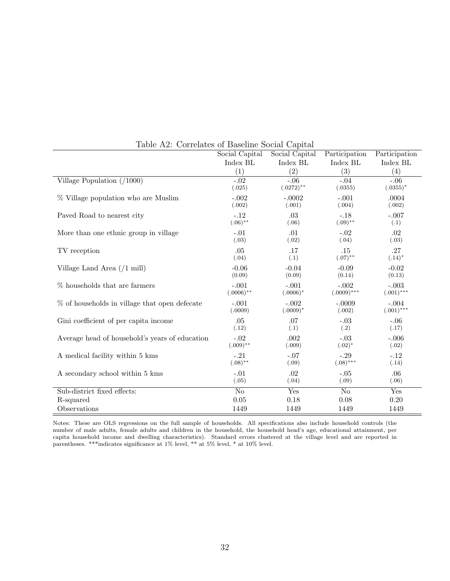|                                                | Social Capital | Social Capital | Participation  | Participation |
|------------------------------------------------|----------------|----------------|----------------|---------------|
|                                                | Index BL       | Index BL       | Index BL       | Index BL      |
|                                                | (1)            | (2)            | (3)            | (4)           |
| Village Population $( / 1000)$                 | $-.02$         | $-.06$         | $-.04$         | $-.06$        |
|                                                | (.025)         | $(.0272)$ **   | (.0355)        | $(.0355)^*$   |
| % Village population who are Muslim            | $-.002$        | $-.0002$       | $-.001$        | .0004         |
|                                                | (.002)         | (.001)         | (.004)         | (.002)        |
| Paved Road to nearest city                     | $-.12$         | .03            | $-.18$         | $-.007$       |
|                                                | $(.06)$ **     | (.06)          | $(.09)$ **     | (.1)          |
| More than one ethnic group in village          | $-.01$         | .01            | $-.02$         | .02           |
|                                                | (.03)          | (.02)          | (.04)          | (.03)         |
| TV reception                                   | .05            | .17            | .15            | .27           |
|                                                | (.04)          | (.1)           | $(.07)$ **     | $(.14)^*$     |
| Village Land Area $(1 \text{ mill})$           | $-0.06$        | $-0.04$        | $-0.09$        | $-0.02$       |
|                                                | (0.09)         | (0.09)         | (0.14)         | (0.13)        |
| % households that are farmers                  | $-.001$        | $-.001$        | $-.002$        | $-.003$       |
|                                                | $(.0006)$ **   | $(.0006)*$     | $(.0009)$ ***  | $(.001)$ ***  |
| % of households in village that open defecate  | $-.001$        | $-.002$        | $-.0009$       | $-.004$       |
|                                                | (.0009)        | $(.0009)*$     | (.002)         | $(.001)$ ***  |
| Gini coefficient of per capita income          | .05            | .07            | $-.03$         | $-.06$        |
|                                                | (.12)          | (.1)           | (.2)           | (.17)         |
| Average head of household's years of education | $-.02$         | .002           | $-.03$         | $-.006$       |
|                                                | $(.009)$ **    | (.009)         | $(.02)^*$      | (.02)         |
| A medical facility within 5 kms                | $-.21$         | $-.07$         | $-.29$         | $-.12$        |
|                                                | $(.08)$ **     | (.09)          | $(.08)$ ***    | (.14)         |
| A secondary school within 5 kms                | $-.01$         | .02            | $-.05$         | .06           |
|                                                | (.05)          | (.04)          | (.09)          | (.06)         |
| Sub-district fixed effects:                    | N <sub>o</sub> | Yes            | N <sub>o</sub> | Yes           |
| R-squared                                      | 0.05           | 0.18           | 0.08           | 0.20          |
| Observations                                   | 1449           | 1449           | 1449           | 1449          |

Table A2: Correlates of Baseline Social Capital

Notes: These are OLS regressions on the full sample of households. All specifications also include household controls (the number of male adults, female adults and children in the household, the household head's age, educational attainment, per capita household income and dwelling characteristics). Standard errors clustered at the village level and are reported in parentheses. \*\*\*indicates significance at 1% level, \*\* at 5% level, \* at 10% level.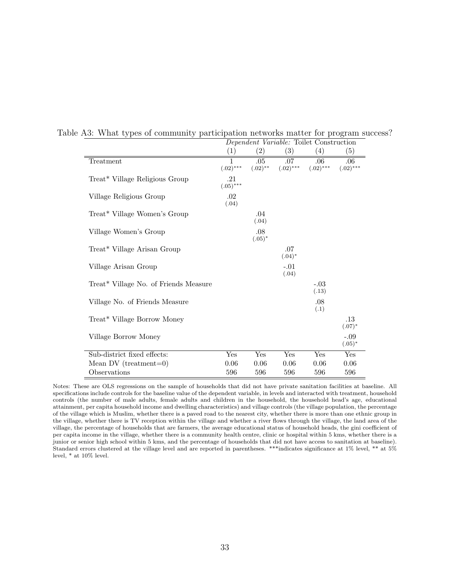|                                          |                    |                   | $D$ c $p$ chacht Vartavic. Tonce Construction |                    |                     |
|------------------------------------------|--------------------|-------------------|-----------------------------------------------|--------------------|---------------------|
|                                          | (1)                | (2)               | (3)                                           | (4)                | (5)                 |
| Treatment                                | 1<br>$(.02)$ ***   | .05<br>$(.02)$ ** | .07<br>$(.02)$ ***                            | .06<br>$(.02)$ *** | .06<br>$(.02)$ ***  |
| Treat* Village Religious Group           | .21<br>$(.05)$ *** |                   |                                               |                    |                     |
| Village Religious Group                  | .02<br>(.04)       |                   |                                               |                    |                     |
| Treat <sup>*</sup> Village Women's Group |                    | .04<br>(.04)      |                                               |                    |                     |
| Village Women's Group                    |                    | .08<br>$(.05)^*$  |                                               |                    |                     |
| Treat* Village Arisan Group              |                    |                   | .07<br>$(.04)^*$                              |                    |                     |
| Village Arisan Group                     |                    |                   | $-.01$<br>(.04)                               |                    |                     |
| Treat* Village No. of Friends Measure    |                    |                   |                                               | $-.03$<br>(.13)    |                     |
| Village No. of Friends Measure           |                    |                   |                                               | .08<br>(.1)        |                     |
| Treat* Village Borrow Money              |                    |                   |                                               |                    | .13<br>$(.07)^*$    |
| Village Borrow Money                     |                    |                   |                                               |                    | $-.09$<br>$(.05)^*$ |
| Sub-district fixed effects:              | Yes                | Yes               | Yes                                           | Yes                | Yes                 |
| Mean DV $(treatment=0)$                  | 0.06               | 0.06              | 0.06                                          | 0.06               | 0.06                |
| Observations                             | 596                | 596               | 596                                           | 596                | 596                 |

Table A3: What types of community participation networks matter for program success? Dependent Variable: Toilet Construction

Notes: These are OLS regressions on the sample of households that did not have private sanitation facilities at baseline. All specifications include controls for the baseline value of the dependent variable, in levels and interacted with treatment, household controls (the number of male adults, female adults and children in the household, the household head's age, educational attainment, per capita household income and dwelling characteristics) and village controls (the village population, the percentage of the village which is Muslim, whether there is a paved road to the nearest city, whether there is more than one ethnic group in the village, whether there is TV reception within the village and whether a river flows through the village, the land area of the village, the percentage of households that are farmers, the average educational status of household heads, the gini coefficient of per capita income in the village, whether there is a community health centre, clinic or hospital within 5 kms, whether there is a junior or senior high school within 5 kms, and the percentage of households that did not have access to sanitation at baseline). Standard errors clustered at the village level and are reported in parentheses. \*\*\*indicates significance at 1% level, \*\* at 5% level,  $^*$  at 10% level.